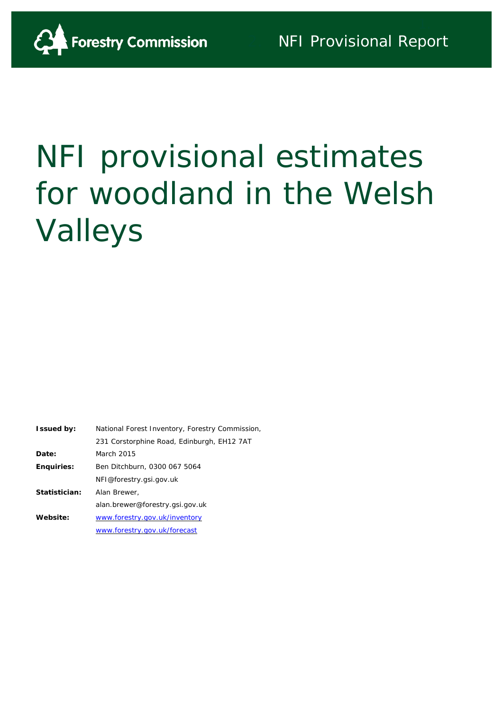

# NFI provisional estimates for woodland in the Welsh Valleys

<span id="page-0-0"></span>

| <b>Issued by:</b> | National Forest Inventory, Forestry Commission, |
|-------------------|-------------------------------------------------|
|                   | 231 Corstorphine Road, Edinburgh, EH12 7AT      |
| Date:             | March 2015                                      |
| <b>Enquiries:</b> | Ben Ditchburn, 0300 067 5064                    |
|                   | NFI@forestry.gsi.gov.uk                         |
| Statistician:     | Alan Brewer,                                    |
|                   | alan.brewer@forestry.gsi.gov.uk                 |
| Website:          | www.forestry.gov.uk/inventory                   |
|                   | www.forestry.gov.uk/forecast                    |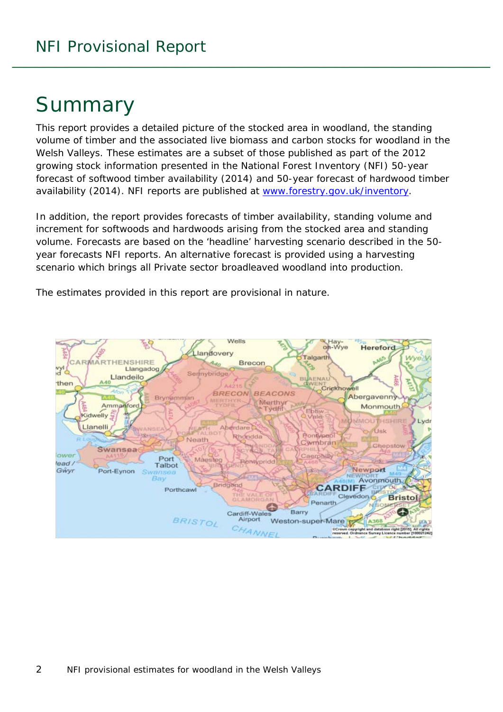# Summary

This report provides a detailed picture of the stocked area in woodland, the standing volume of timber and the associated live biomass and carbon stocks for woodland in the Welsh Valleys. These estimates are a subset of those published as part of the 2012 growing stock information presented in the National Forest Inventory (NFI) *50-year forecast of softwood timber availability* (2014) and *50-year forecast of hardwood timber availability* (2014). NFI reports are published at [www.forestry.gov.uk/inventory.](http://www.forestry.gov.uk/inventory)

In addition, the report provides forecasts of timber availability, standing volume and increment for softwoods and hardwoods arising from the stocked area and standing volume. Forecasts are based on the 'headline' harvesting scenario described in the 50 year forecasts NFI reports. An alternative forecast is provided using a harvesting scenario which brings all Private sector broadleaved woodland into production.

The estimates provided in this report are provisional in nature.

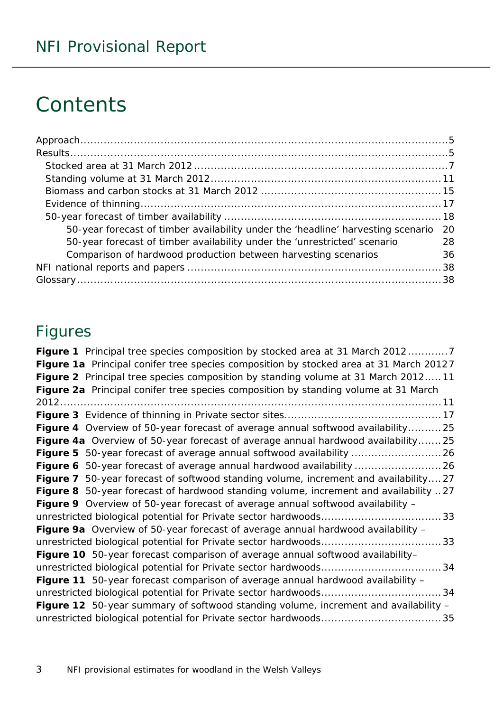# **Contents**

| 50-year forecast of timber availability under the 'headline' harvesting scenario | -20 |
|----------------------------------------------------------------------------------|-----|
| 50-year forecast of timber availability under the 'unrestricted' scenario        | 28  |
| Comparison of hardwood production between harvesting scenarios                   | 36  |
|                                                                                  |     |
|                                                                                  |     |

### Figures

| Figure 1 Principal tree species composition by stocked area at 31 March 20127          |
|----------------------------------------------------------------------------------------|
| Figure 1a Principal conifer tree species composition by stocked area at 31 March 20127 |
| Figure 2 Principal tree species composition by standing volume at 31 March 201211      |
| Figure 2a Principal conifer tree species composition by standing volume at 31 March    |
|                                                                                        |
|                                                                                        |
| Figure 4 Overview of 50-year forecast of average annual softwood availability 25       |
| Figure 4a Overview of 50-year forecast of average annual hardwood availability25       |
|                                                                                        |
|                                                                                        |
| Figure 7 50-year forecast of softwood standing volume, increment and availability27    |
| Figure 8 50-year forecast of hardwood standing volume, increment and availability 27   |
| Figure 9 Overview of 50-year forecast of average annual softwood availability -        |
|                                                                                        |
| Figure 9a Overview of 50-year forecast of average annual hardwood availability -       |
|                                                                                        |
| Figure 10 50-year forecast comparison of average annual softwood availability-         |
|                                                                                        |
| Figure 11 50-year forecast comparison of average annual hardwood availability -        |
|                                                                                        |
| Figure 12 50-year summary of softwood standing volume, increment and availability -    |
|                                                                                        |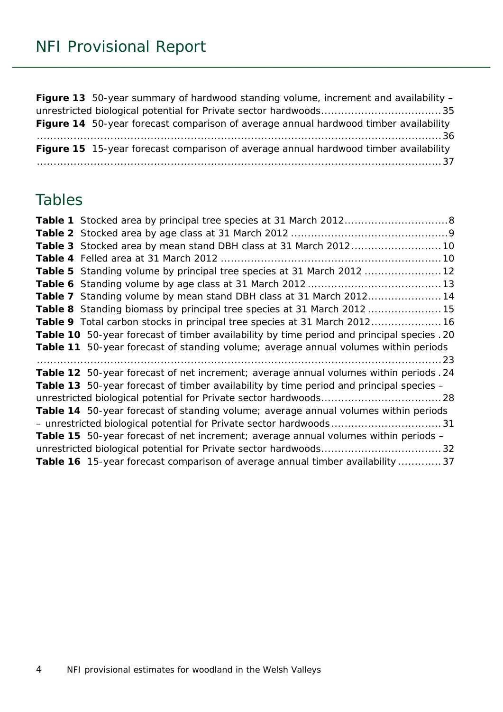**Figure 13** [50-year summary of hardwood standing volume, increment and availability –](#page-34-1) [unrestricted biological potential for Private sector hardwoods....................................35](#page-34-1) **Figure 14** [50-year forecast comparison of average annual hardwood timber availability](#page-35-1) [.........................................................................................................................36](#page-35-1) **Figure 15** [15-year forecast comparison of average annual hardwood timber availability](#page-36-0) [.........................................................................................................................37](#page-36-0)

### Tables

| Table 3 Stocked area by mean stand DBH class at 31 March 2012 10                               |  |
|------------------------------------------------------------------------------------------------|--|
|                                                                                                |  |
| Table 5 Standing volume by principal tree species at 31 March 2012  12                         |  |
|                                                                                                |  |
| Table 7 Standing volume by mean stand DBH class at 31 March 201214                             |  |
| Table 8 Standing biomass by principal tree species at 31 March 2012  15                        |  |
| Table 9 Total carbon stocks in principal tree species at 31 March 2012 16                      |  |
| Table 10 50-year forecast of timber availability by time period and principal species . 20     |  |
| Table 11 50-year forecast of standing volume; average annual volumes within periods            |  |
|                                                                                                |  |
| Table 12 50-year forecast of net increment; average annual volumes within periods . 24         |  |
| <b>Table 13</b> 50-year forecast of timber availability by time period and principal species – |  |
|                                                                                                |  |
| Table 14 50-year forecast of standing volume; average annual volumes within periods            |  |
|                                                                                                |  |
| Table 15 50-year forecast of net increment; average annual volumes within periods -            |  |
|                                                                                                |  |
| Table 16 15-year forecast comparison of average annual timber availability  37                 |  |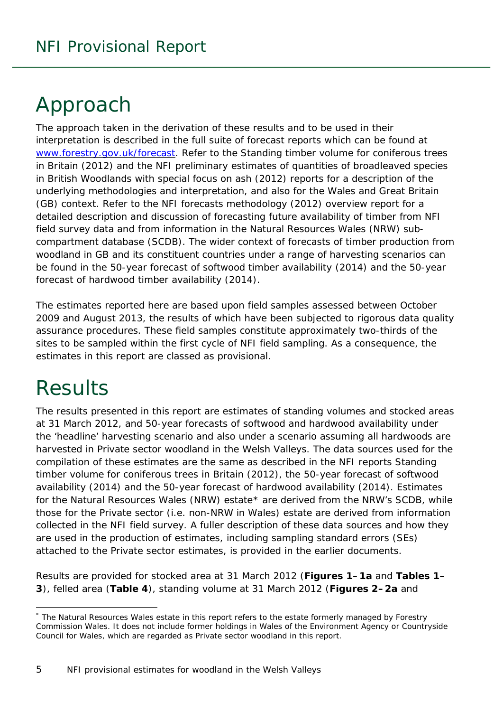# <span id="page-4-0"></span>Approach

The approach taken in the derivation of these results and to be used in their interpretation is described in the full suite of forecast reports which can be found at [www.forestry.gov.uk/forecast.](http://www.forestry.gov.uk/forecast) Refer to the *Standing timber volume for coniferous trees in Britain* (2012) and the *NFI preliminary estimates of quantities of broadleaved species in British Woodlands with special focus on ash* (2012) reports for a description of the underlying methodologies and interpretation, and also for the Wales and Great Britain (GB) context. Refer to the *NFI forecasts methodology* (2012) overview report for a detailed description and discussion of forecasting future availability of timber from NFI field survey data and from information in the Natural Resources Wales (NRW) subcompartment database (SCDB). The wider context of forecasts of timber production from woodland in GB and its constituent countries under a range of harvesting scenarios can be found in the *50-year forecast of softwood timber availability* (2014) and the *50-year forecast of hardwood timber availability* (2014).

The estimates reported here are based upon field samples assessed between October 2009 and August 2013, the results of which have been subjected to rigorous data quality assurance procedures. These field samples constitute approximately two-thirds of the sites to be sampled within the first cycle of NFI field sampling. As a consequence, the estimates in this report are classed as provisional.

# <span id="page-4-1"></span>**Results**

1

The results presented in this report are estimates of standing volumes and stocked areas at 31 March 2012, and 50-year forecasts of softwood and hardwood availability under the 'headline' harvesting scenario and also under a scenario assuming all hardwoods are harvested in Private sector woodland in the Welsh Valleys. The data sources used for the compilation of these estimates are the same as described in the NFI reports *Standing timber volume for coniferous trees in Britain* (2012), the *50-year forecast of softwood availability* (2014) and the *50-year forecast of hardwood availability* (2014). Estimates for the Natural Resources Wales (NRW) estate[\\*](#page-0-0) are derived from the NRW's SCDB, while those for the Private sector (i.e. non-NRW in Wales) estate are derived from information collected in the NFI field survey. A fuller description of these data sources and how they are used in the production of estimates, including sampling standard errors (SEs) attached to the Private sector estimates, is provided in the earlier documents.

Results are provided for stocked area at 31 March 2012 (**Figures 1–1a** and **Tables 1– 3**), felled area (**Table 4**), standing volume at 31 March 2012 (**Figures 2–2a** and

<sup>\*</sup> The Natural Resources Wales estate in this report refers to the estate formerly managed by Forestry Commission Wales. It does not include former holdings in Wales of the Environment Agency or Countryside Council for Wales, which are regarded as Private sector woodland in this report.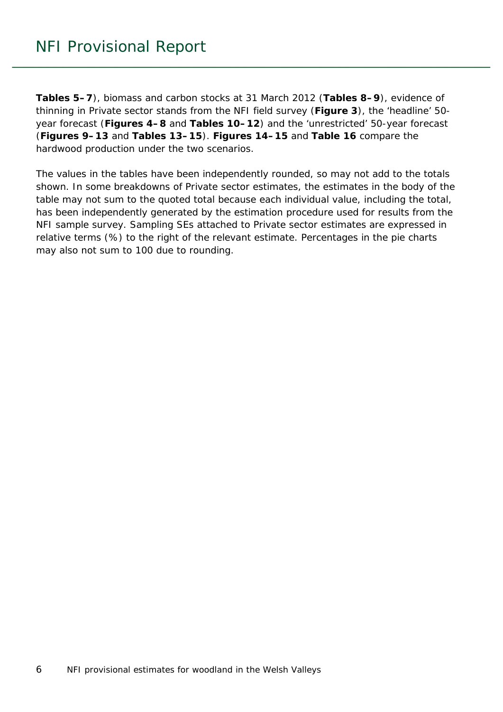**Tables 5–7**), biomass and carbon stocks at 31 March 2012 (**Tables 8–9**), evidence of thinning in Private sector stands from the NFI field survey (**Figure 3**), the 'headline' 50 year forecast (**Figures 4–8** and **Tables 10–12**) and the 'unrestricted' 50-year forecast (**Figures 9–13** and **Tables 13–15**). **Figures 14–15** and **Table 16** compare the hardwood production under the two scenarios.

The values in the tables have been independently rounded, so may not add to the totals shown. In some breakdowns of Private sector estimates, the estimates in the body of the table may not sum to the quoted total because each individual value, including the total, has been independently generated by the estimation procedure used for results from the NFI sample survey. Sampling SEs attached to Private sector estimates are expressed in relative terms (%) to the right of the relevant estimate. Percentages in the pie charts may also not sum to 100 due to rounding.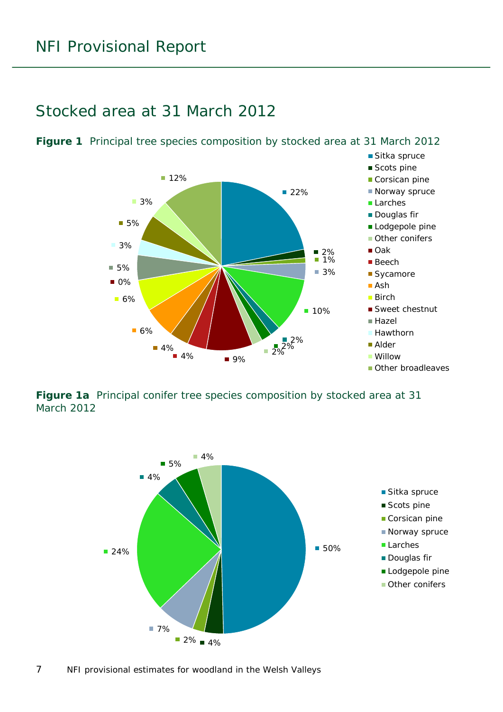#### <span id="page-6-0"></span>Stocked area at 31 March 2012



<span id="page-6-1"></span>**Figure 1** Principal tree species composition by stocked area at 31 March 2012

<span id="page-6-2"></span>**Figure 1a** Principal conifer tree species composition by stocked area at 31 March 2012

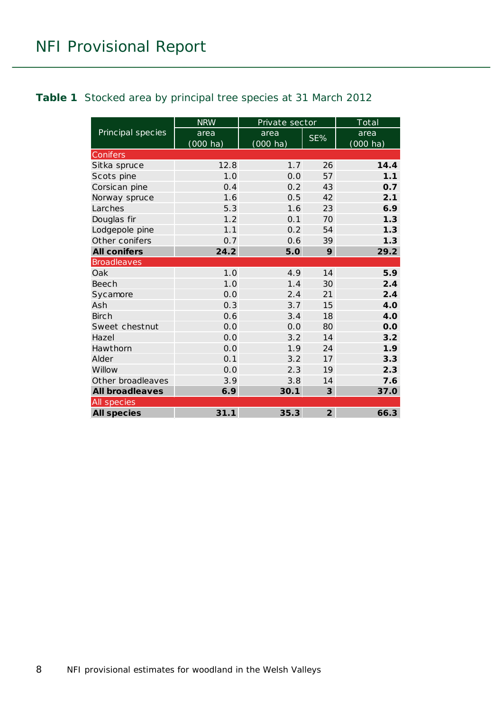#### <span id="page-7-0"></span>**Table 1** Stocked area by principal tree species at 31 March 2012

|                        | <b>NRW</b>         | Private sector     |                | $\underline{\text{Total}}$ |
|------------------------|--------------------|--------------------|----------------|----------------------------|
| Principal species      | area               | area               | SE%            | area                       |
|                        | $(000 \text{ ha})$ | $(000 \text{ ha})$ |                | (000 ha)                   |
| Conifers               |                    |                    |                |                            |
| Sitka spruce           | 12.8               | 1.7                | 26             | 14.4                       |
| Scots pine             | 1.0                | 0.0                | 57             | 1.1                        |
| Corsican pine          | 0.4                | 0.2                | 43             | 0.7                        |
| Norway spruce          | 1.6                | 0.5                | 42             | 2.1                        |
| Larches                | 5.3                | 1.6                | 23             | 6.9                        |
| Douglas fir            | 1.2                | 0.1                | 70             | 1.3                        |
| Lodgepole pine         | 1.1                | 0.2                | 54             | 1.3                        |
| Other conifers         | 0.7                | 0.6                | 39             | 1.3                        |
| <b>All conifers</b>    | 24.2               | 5.0                | 9              | 29.2                       |
| <b>Broadleaves</b>     |                    |                    |                |                            |
| Oak                    | 1.0                | 4.9                | 14             | 5.9                        |
| Beech                  | 1.0                | 1.4                | 30             | 2.4                        |
| Sycamore               | 0.0                | 2.4                | 21             | 2.4                        |
| Ash                    | 0.3                | 3.7                | 15             | 4.0                        |
| <b>Birch</b>           | 0.6                | 3.4                | 18             | 4.0                        |
| Sweet chestnut         | 0.0                | 0.0                | 80             | 0.0                        |
| Hazel                  | 0.0                | 3.2                | 14             | 3.2                        |
| Hawthorn               | 0.0                | 1.9                | 24             | 1.9                        |
| Alder                  | 0.1                | 3.2                | 17             | 3.3                        |
| Willow                 | 0.0                | 2.3                | 19             | 2.3                        |
| Other broadleaves      | 3.9                | 3.8                | 14             | 7.6                        |
| <b>All broadleaves</b> | 6.9                | 30.1               | 3              | 37.0                       |
| All species            |                    |                    |                |                            |
| <b>All species</b>     | 31.1               | 35.3               | $\overline{2}$ | 66.3                       |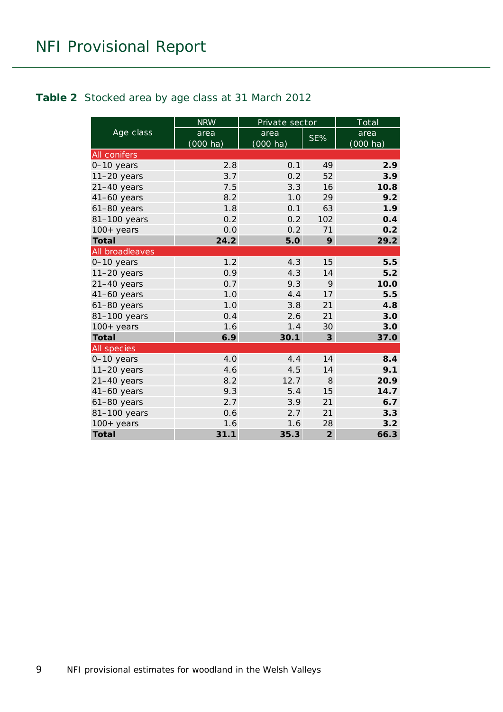#### <span id="page-8-0"></span>**Table 2** Stocked area by age class at 31 March 2012

|                     | <b>NRW</b>                 | Private sector             |                | Total                      |
|---------------------|----------------------------|----------------------------|----------------|----------------------------|
| Age class           | area<br>$(000 \text{ ha})$ | area<br>$(000 \text{ ha})$ | SE%            | area<br>$(000 \text{ ha})$ |
| <b>All conifers</b> |                            |                            |                |                            |
| 0-10 years          | 2.8                        | 0.1                        | 49             | 2.9                        |
| $11-20$ years       | 3.7                        | 0.2                        | 52             | 3.9                        |
| $21-40$ years       | 7.5                        | 3.3                        | 16             | 10.8                       |
| $41-60$ years       | 8.2                        | 1.0                        | 29             | 9.2                        |
| $61-80$ years       | 1.8                        | 0.1                        | 63             | 1.9                        |
| 81-100 years        | 0.2                        | 0.2                        | 102            | 0.4                        |
| $100+$ years        | 0.0                        | 0.2                        | 71             | 0.2                        |
| <b>Total</b>        | 24.2                       | 5.0                        | 9              | 29.2                       |
| All broadleaves     |                            |                            |                |                            |
| 0-10 years          | 1.2                        | 4.3                        | 15             | 5.5                        |
| $11-20$ years       | 0.9                        | 4.3                        | 14             | 5.2                        |
| $21-40$ years       | 0.7                        | 9.3                        | 9              | 10.0                       |
| $41-60$ years       | 1.0                        | 4.4                        | 17             | 5.5                        |
| $61-80$ years       | 1.0                        | 3.8                        | 21             | 4.8                        |
| 81-100 years        | 0.4                        | 2.6                        | 21             | 3.0                        |
| $100+$ years        | 1.6                        | 1.4                        | 30             | 3.0                        |
| <b>Total</b>        | 6.9                        | 30.1                       | $\mathbf{3}$   | 37.0                       |
| All species         |                            |                            |                |                            |
| 0-10 years          | 4.0                        | 4.4                        | 14             | 8.4                        |
| $11-20$ years       | 4.6                        | 4.5                        | 14             | 9.1                        |
| $21-40$ years       | 8.2                        | 12.7                       | 8              | 20.9                       |
| $41-60$ years       | 9.3                        | 5.4                        | 15             | 14.7                       |
| 61-80 years         | 2.7                        | 3.9                        | 21             | 6.7                        |
| 81-100 years        | 0.6                        | 2.7                        | 21             | 3.3                        |
| $100+$ years        | 1.6                        | 1.6                        | 28             | 3.2                        |
| <b>Total</b>        | 31.1                       | 35.3                       | $\overline{2}$ | 66.3                       |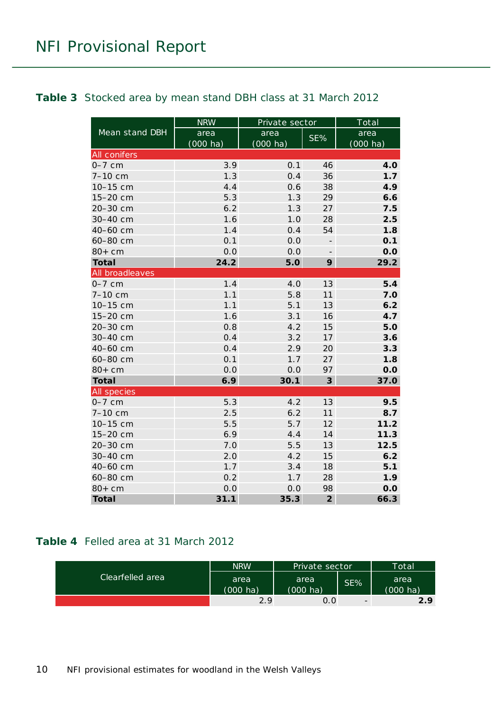#### <span id="page-9-0"></span>**Table 3** Stocked area by mean stand DBH class at 31 March 2012

|                     | <b>NRW</b>         | Private sector     |                         | Total              |
|---------------------|--------------------|--------------------|-------------------------|--------------------|
| Mean stand DBH      | area               | area               | SE%                     | area               |
|                     | $(000 \text{ ha})$ | $(000 \text{ ha})$ |                         | $(000 \text{ ha})$ |
| <b>All conifers</b> |                    |                    |                         |                    |
| $0-7$ cm            | 3.9                | 0.1                | 46                      | 4.0                |
| 7-10 cm             | 1.3                | 0.4                | 36                      | 1.7                |
| 10-15 cm            | 4.4                | 0.6                | 38                      | 4.9                |
| 15-20 cm            | 5.3                | 1.3                | 29                      | 6.6                |
| 20-30 cm            | 6.2                | 1.3                | 27                      | 7.5                |
| 30-40 cm            | 1.6                | 1.0                | 28                      | 2.5                |
| 40-60 cm            | 1.4                | 0.4                | 54                      | 1.8                |
| 60-80 cm            | 0.1                | 0.0                |                         | 0.1                |
| $80+cm$             | 0.0                | 0.0                |                         | 0.0                |
| <b>Total</b>        | 24.2               | 5.0                | 9                       | 29.2               |
| All broadleaves     |                    |                    |                         |                    |
| $0-7$ cm            | 1.4                | 4.0                | 13                      | 5.4                |
| 7-10 cm             | 1.1                | 5.8                | 11                      | 7.0                |
| 10-15 cm            | 1.1                | 5.1                | 13                      | 6.2                |
| 15-20 cm            | 1.6                | 3.1                | 16                      | 4.7                |
| 20-30 cm            | 0.8                | 4.2                | 15                      | 5.0                |
| 30-40 cm            | 0.4                | 3.2                | 17                      | 3.6                |
| 40-60 cm            | 0.4                | 2.9                | 20                      | 3.3                |
| 60-80 cm            | 0.1                | 1.7                | 27                      | 1.8                |
| $80+cm$             | 0.0                | 0.0                | 97                      | 0.0                |
| <b>Total</b>        | 6.9                | 30.1               | $\overline{\mathbf{3}}$ | 37.0               |
| All species         |                    |                    |                         |                    |
| $0-7$ cm            | 5.3                | 4.2                | 13                      | 9.5                |
| 7-10 cm             | 2.5                | 6.2                | 11                      | 8.7                |
| 10-15 cm            | 5.5                | 5.7                | 12                      | 11.2               |
| 15-20 cm            | 6.9                | 4.4                | 14                      | 11.3               |
| 20-30 cm            | 7.0                | 5.5                | 13                      | 12.5               |
| 30-40 cm            | 2.0                | 4.2                | 15                      | 6.2                |
| 40-60 cm            | 1.7                | 3.4                | 18                      | 5.1                |
| 60-80 cm            | 0.2                | 1.7                | 28                      | 1.9                |
| $80+cm$             | 0.0                | 0.0                | 98                      | 0.0                |
| <b>Total</b>        | 31.1               | 35.3               | $\overline{2}$          | 66.3               |

#### <span id="page-9-1"></span>**Table 4** Felled area at 31 March 2012

| Clearfelled area | <b>NRW</b>         | Private sector     |                          | Total    |
|------------------|--------------------|--------------------|--------------------------|----------|
|                  | area               | area               | SE%                      | area     |
|                  | $(000 \text{ ha})$ | $(000 \text{ ha})$ |                          | (000 ha) |
|                  | 29                 | 0.0                | $\overline{\phantom{0}}$ | 2.9      |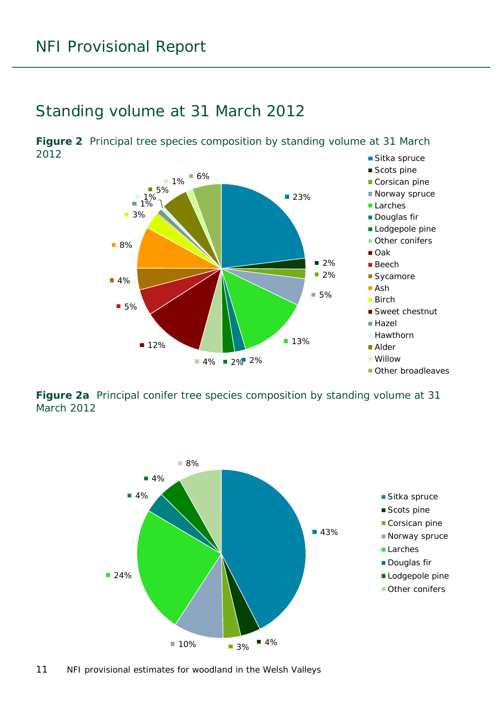#### <span id="page-10-0"></span>Standing volume at 31 March 2012

<span id="page-10-1"></span>■ Sitka spruce **Figure 2** Principal tree species composition by standing volume at 31 March 2012



<span id="page-10-2"></span>**Figure 2a** Principal conifer tree species composition by standing volume at 31 March 2012



11 NFI provisional estimates for woodland in the Welsh Valleys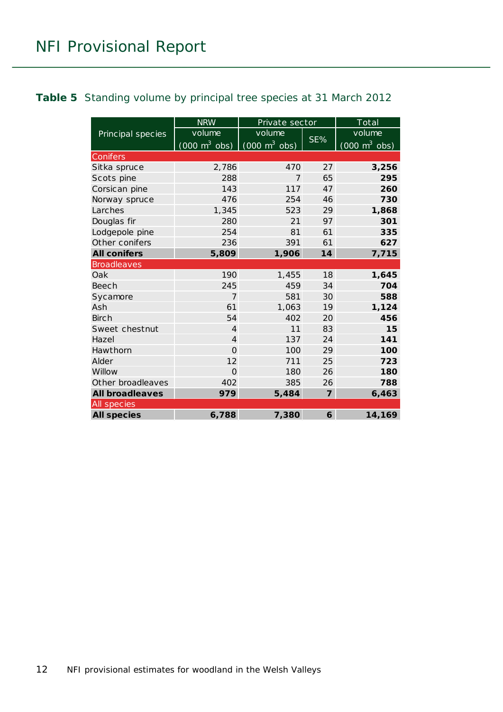#### <span id="page-11-0"></span>**Table 5** Standing volume by principal tree species at 31 March 2012

|                        | <b>NRW</b>                                                      | Private sector |                | $\overline{\text{Total}}$       |
|------------------------|-----------------------------------------------------------------|----------------|----------------|---------------------------------|
| Principal species      | volume                                                          | volume         |                | volume                          |
|                        | $(000 \text{ m}^3 \text{ obs})$ $(000 \text{ m}^3 \text{ obs})$ |                | SE%            | $(000 \text{ m}^3 \text{ obs})$ |
| Conifers               |                                                                 |                |                |                                 |
| Sitka spruce           | 2,786                                                           | 470            | 27             | 3,256                           |
| Scots pine             | 288                                                             | 7              | 65             | 295                             |
| Corsican pine          | 143                                                             | 117            | 47             | 260                             |
| Norway spruce          | 476                                                             | 254            | 46             | 730                             |
| Larches                | 1,345                                                           | 523            | 29             | 1,868                           |
| Douglas fir            | 280                                                             | 21             | 97             | 301                             |
| Lodgepole pine         | 254                                                             | 81             | 61             | 335                             |
| Other conifers         | 236                                                             | 391            | 61             | 627                             |
| <b>All conifers</b>    | 5,809                                                           | 1,906          | 14             | 7,715                           |
| <b>Broadleaves</b>     |                                                                 |                |                |                                 |
| Oak                    | 190                                                             | 1,455          | 18             | 1,645                           |
| Beech                  | 245                                                             | 459            | 34             | 704                             |
| Sycamore               | $\overline{7}$                                                  | 581            | 30             | 588                             |
| Ash                    | 61                                                              | 1,063          | 19             | 1,124                           |
| <b>Birch</b>           | 54                                                              | 402            | 20             | 456                             |
| Sweet chestnut         | $\overline{4}$                                                  | 11             | 83             | 15                              |
| Hazel                  | $\overline{4}$                                                  | 137            | 24             | 141                             |
| Hawthorn               | $\Omega$                                                        | 100            | 29             | 100                             |
| Alder                  | 12                                                              | 711            | 25             | 723                             |
| Willow                 | $\Omega$                                                        | 180            | 26             | 180                             |
| Other broadleaves      | 402                                                             | 385            | 26             | 788                             |
| <b>All broadleaves</b> | 979                                                             | 5,484          | $\overline{7}$ | 6,463                           |
| All species            |                                                                 |                |                |                                 |
| <b>All species</b>     | 6,788                                                           | 7,380          | 6              | 14,169                          |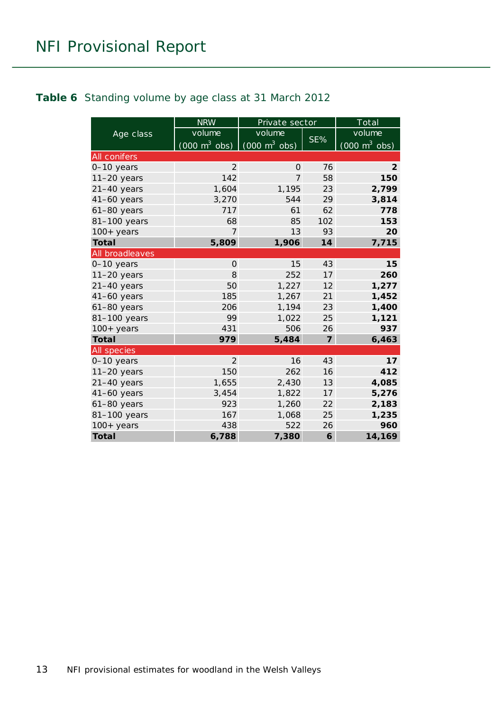#### <span id="page-12-0"></span>**Table 6** Standing volume by age class at 31 March 2012

|                 | <b>NRW</b>                                                      | Private sector |                         | Total                           |
|-----------------|-----------------------------------------------------------------|----------------|-------------------------|---------------------------------|
| Age class       | volume                                                          | volume         |                         | volume                          |
|                 | $(000 \text{ m}^3 \text{ obs})$ $(000 \text{ m}^3 \text{ obs})$ |                | SE%                     | $(000 \text{ m}^3 \text{ obs})$ |
| All conifers    |                                                                 |                |                         |                                 |
| 0-10 years      | $\overline{2}$                                                  | $\overline{O}$ | 76                      | $\overline{2}$                  |
| $11-20$ years   | 142                                                             | 7              | 58                      | 150                             |
| $21-40$ years   | 1,604                                                           | 1,195          | 23                      | 2,799                           |
| $41-60$ years   | 3,270                                                           | 544            | 29                      | 3,814                           |
| $61-80$ years   | 717                                                             | 61             | 62                      | 778                             |
| 81-100 years    | 68                                                              | 85             | 102                     | 153                             |
| $100+$ years    | 7                                                               | 13             | 93                      | 20                              |
| <b>Total</b>    | 5,809                                                           | 1,906          | 14                      | 7,715                           |
| All broadleaves |                                                                 |                |                         |                                 |
| $0-10$ years    | $\Omega$                                                        | 15             | 43                      | 15                              |
| $11-20$ years   | 8                                                               | 252            | 17                      | 260                             |
| $21-40$ years   | 50                                                              | 1,227          | 12                      | 1,277                           |
| 41-60 years     | 185                                                             | 1,267          | 21                      | 1,452                           |
| 61-80 years     | 206                                                             | 1,194          | 23                      | 1,400                           |
| 81-100 years    | 99                                                              | 1,022          | 25                      | 1,121                           |
| $100+$ years    | 431                                                             | 506            | 26                      | 937                             |
| <b>Total</b>    | 979                                                             | 5,484          | $\overline{\mathbf{z}}$ | 6,463                           |
| All species     |                                                                 |                |                         |                                 |
| 0-10 years      | $\mathcal{P}$                                                   | 16             | 43                      | 17                              |
| $11-20$ years   | 150                                                             | 262            | 16                      | 412                             |
| $21-40$ years   | 1,655                                                           | 2,430          | 13                      | 4,085                           |
| $41-60$ years   | 3,454                                                           | 1,822          | 17                      | 5,276                           |
| $61-80$ years   | 923                                                             | 1,260          | 22                      | 2,183                           |
| 81-100 years    | 167                                                             | 1,068          | 25                      | 1,235                           |
| $100+years$     | 438                                                             | 522            | 26                      | 960                             |
| <b>Total</b>    | 6,788                                                           | 7,380          | 6                       | 14,169                          |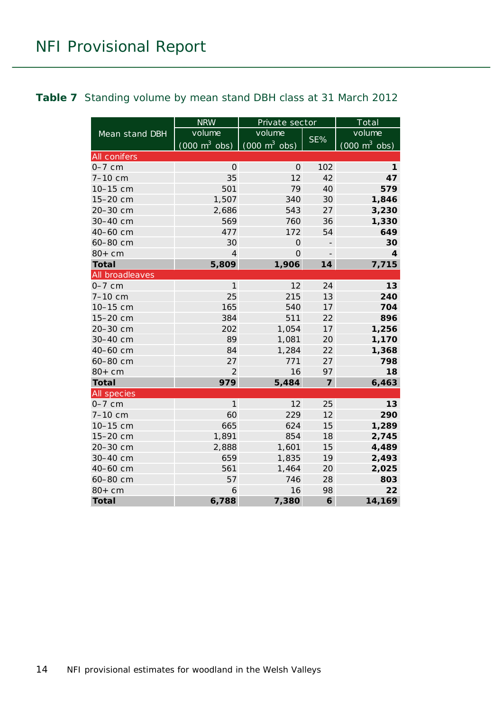#### <span id="page-13-0"></span>**Table 7** Standing volume by mean stand DBH class at 31 March 2012

|                     | <b>NRW</b>                      | Private sector                  |                          | Total                           |
|---------------------|---------------------------------|---------------------------------|--------------------------|---------------------------------|
| Mean stand DBH      | volume                          | volume                          |                          | volume                          |
|                     | $(000 \text{ m}^3 \text{ obs})$ | $(000 \text{ m}^3 \text{ obs})$ | SE%                      | $(000 \text{ m}^3 \text{ obs})$ |
| <b>All conifers</b> |                                 |                                 |                          |                                 |
| $0-7$ cm            | $\mathbf{O}$                    | $\Omega$                        | 102                      | $\mathbf{1}$                    |
| 7-10 cm             | 35                              | 12                              | 42                       | 47                              |
| 10-15 cm            | 501                             | 79                              | 40                       | 579                             |
| 15-20 cm            | 1,507                           | 340                             | 30                       | 1,846                           |
| 20-30 cm            | 2,686                           | 543                             | 27                       | 3,230                           |
| 30-40 cm            | 569                             | 760                             | 36                       | 1,330                           |
| 40-60 cm            | 477                             | 172                             | 54                       | 649                             |
| 60-80 cm            | 30                              | $\overline{O}$                  | $\overline{\phantom{m}}$ | 30                              |
| $80+cm$             | $\overline{4}$                  | $\overline{O}$                  | $\overline{a}$           | 4                               |
| <b>Total</b>        | 5,809                           | 1,906                           | 14                       | 7,715                           |
| All broadleaves     |                                 |                                 |                          |                                 |
| $0-7$ cm            | $\mathbf{1}$                    | 12                              | 24                       | 13                              |
| 7-10 cm             | 25                              | 215                             | 13                       | 240                             |
| 10-15 cm            | 165                             | 540                             | 17                       | 704                             |
| 15-20 cm            | 384                             | 511                             | 22                       | 896                             |
| 20-30 cm            | 202                             | 1,054                           | 17                       | 1,256                           |
| 30-40 cm            | 89                              | 1,081                           | 20                       | 1,170                           |
| 40-60 cm            | 84                              | 1,284                           | 22                       | 1,368                           |
| 60-80 cm            | 27                              | 771                             | 27                       | 798                             |
| $80+cm$             | $\overline{2}$                  | 16                              | 97                       | 18                              |
| <b>Total</b>        | 979                             | 5,484                           | $\overline{7}$           | 6,463                           |
| <b>All species</b>  |                                 |                                 |                          |                                 |
| $0-7$ cm            | $\mathbf{1}$                    | 12                              | 25                       | 13                              |
| 7-10 cm             | 60                              | 229                             | 12                       | 290                             |
| 10-15 cm            | 665                             | 624                             | 15                       | 1,289                           |
| 15-20 cm            | 1,891                           | 854                             | 18                       | 2,745                           |
| 20-30 cm            | 2,888                           | 1,601                           | 15                       | 4,489                           |
| 30-40 cm            | 659                             | 1,835                           | 19                       | 2,493                           |
| 40-60 cm            | 561                             | 1,464                           | 20                       | 2,025                           |
| 60-80 cm            | 57                              | 746                             | 28                       | 803                             |
| $80+cm$             | 6                               | 16                              | 98                       | 22                              |
| <b>Total</b>        | 6,788                           | 7,380                           | 6                        | 14,169                          |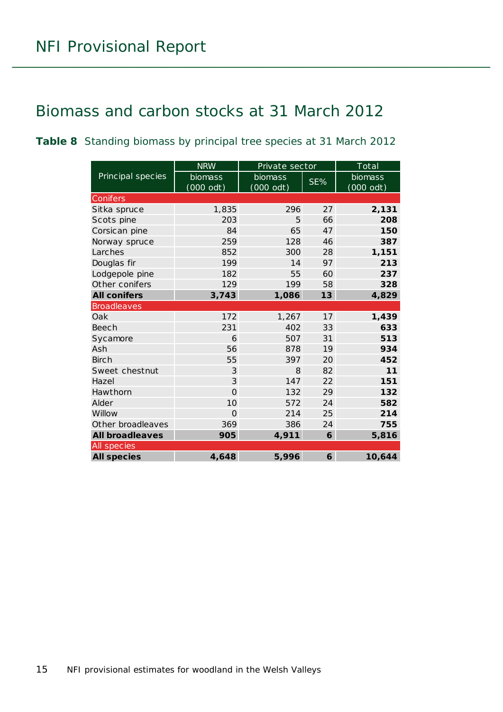### <span id="page-14-0"></span>Biomass and carbon stocks at 31 March 2012

<span id="page-14-1"></span>**Table 8** Standing biomass by principal tree species at 31 March 2012

|                        | <b>NRW</b>     | Private sector |     | Total     |
|------------------------|----------------|----------------|-----|-----------|
| Principal species      | biomass        | biomass        | SE% | biomass   |
|                        | $(000$ odt)    | $(000$ odt)    |     | (000 odt) |
| Conifers               |                |                |     |           |
| Sitka spruce           | 1,835          | 296            | 27  | 2,131     |
| Scots pine             | 203            | 5              | 66  | 208       |
| Corsican pine          | 84             | 65             | 47  | 150       |
| Norway spruce          | 259            | 128            | 46  | 387       |
| Larches                | 852            | 300            | 28  | 1,151     |
| Douglas fir            | 199            | 14             | 97  | 213       |
| Lodgepole pine         | 182            | 55             | 60  | 237       |
| Other conifers         | 129            | 199            | 58  | 328       |
| <b>All conifers</b>    | 3,743          | 1,086          | 13  | 4,829     |
| <b>Broadleaves</b>     |                |                |     |           |
| Oak                    | 172            | 1,267          | 17  | 1,439     |
| <b>Beech</b>           | 231            | 402            | 33  | 633       |
| Sycamore               | 6              | 507            | 31  | 513       |
| Ash                    | 56             | 878            | 19  | 934       |
| <b>Birch</b>           | 55             | 397            | 20  | 452       |
| Sweet chestnut         | 3              | 8              | 82  | 11        |
| Hazel                  | 3              | 147            | 22  | 151       |
| Hawthorn               | $\overline{O}$ | 132            | 29  | 132       |
| Alder                  | 10             | 572            | 24  | 582       |
| Willow                 | $\Omega$       | 214            | 25  | 214       |
| Other broadleaves      | 369            | 386            | 24  | 755       |
| <b>All broadleaves</b> | 905            | 4,911          | 6   | 5,816     |
| All species            |                |                |     |           |
| <b>All species</b>     | 4,648          | 5,996          | 6   | 10,644    |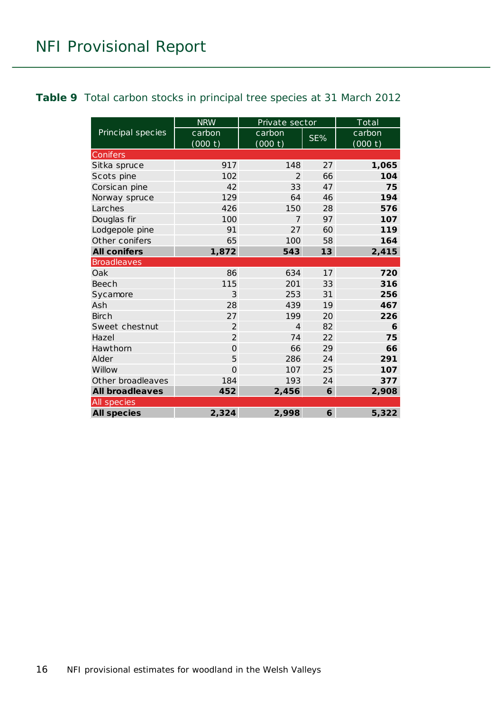#### <span id="page-15-0"></span>**Table 9** Total carbon stocks in principal tree species at 31 March 2012

|                        | <b>NRW</b>        | Private sector    |     | Total             |  |  |
|------------------------|-------------------|-------------------|-----|-------------------|--|--|
| Principal species      | carbon<br>(000 t) | carbon<br>(000 t) | SE% | carbon<br>(000 t) |  |  |
| <b>Conifers</b>        |                   |                   |     |                   |  |  |
| Sitka spruce           | 917               | 148               | 27  | 1,065             |  |  |
| Scots pine             | 102               | $\mathcal{P}$     | 66  | 104               |  |  |
| Corsican pine          | 42                | 33                | 47  | 75                |  |  |
| Norway spruce          | 129               | 64                | 46  | 194               |  |  |
| Larches                | 426               | 150               | 28  | 576               |  |  |
| Douglas fir            | 100               | $\overline{7}$    | 97  | 107               |  |  |
| Lodgepole pine         | 91                | 27                | 60  | 119               |  |  |
| Other conifers         | 65                | 100               | 58  | 164               |  |  |
| <b>All conifers</b>    | 1,872             | 543               | 13  | 2,415             |  |  |
| <b>Broadleaves</b>     |                   |                   |     |                   |  |  |
| Oak                    | 86                | 634               | 17  | 720               |  |  |
| Beech                  | 115               | 201               | 33  | 316               |  |  |
| Sycamore               | 3                 | 253               | 31  | 256               |  |  |
| Ash                    | 28                | 439               | 19  | 467               |  |  |
| <b>Birch</b>           | 27                | 199               | 20  | 226               |  |  |
| Sweet chestnut         | $\overline{2}$    | $\overline{4}$    | 82  | 6                 |  |  |
| Hazel                  | $\overline{2}$    | 74                | 22  | 75                |  |  |
| Hawthorn               | $\Omega$          | 66                | 29  | 66                |  |  |
| Alder                  | 5                 | 286               | 24  | 291               |  |  |
| Willow                 | $\overline{O}$    | 107               | 25  | 107               |  |  |
| Other broadleaves      | 184               | 193               | 24  | 377               |  |  |
| <b>All broadleaves</b> | 452               | 2,456             | 6   | 2,908             |  |  |
| All species            |                   |                   |     |                   |  |  |
| <b>All species</b>     | 2,324             | 2,998             | 6   | 5,322             |  |  |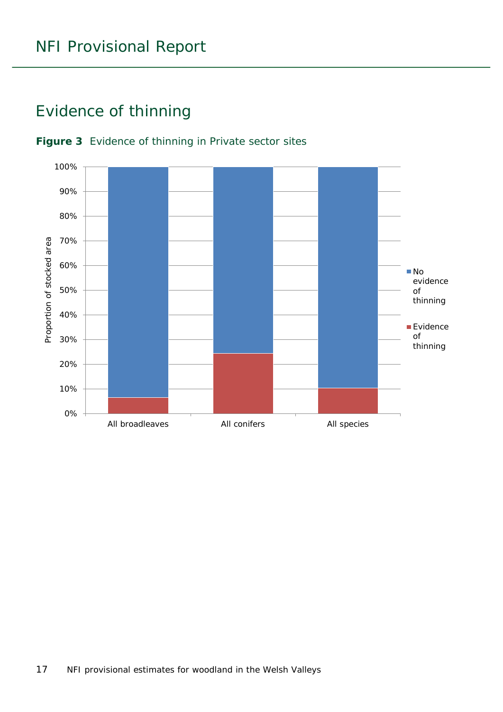### <span id="page-16-0"></span>Evidence of thinning



#### <span id="page-16-1"></span>**Figure 3** Evidence of thinning in Private sector sites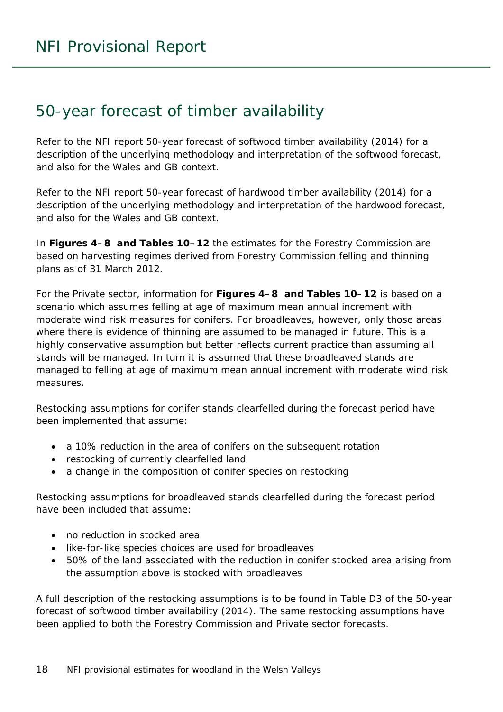### <span id="page-17-0"></span>50-year forecast of timber availability

Refer to the NFI report *50-year forecast of softwood timber availability* (2014) for a description of the underlying methodology and interpretation of the softwood forecast, and also for the Wales and GB context.

Refer to the NFI report *50-year forecast of hardwood timber availability* (2014) for a description of the underlying methodology and interpretation of the hardwood forecast, and also for the Wales and GB context.

In **Figures 4–8 and Tables 10–12** the estimates for the Forestry Commission are based on harvesting regimes derived from Forestry Commission felling and thinning plans as of 31 March 2012.

For the Private sector, information for **Figures 4–8 and Tables 10–12** is based on a scenario which assumes felling at age of maximum mean annual increment with moderate wind risk measures for conifers. For broadleaves, however, only those areas where there is evidence of thinning are assumed to be managed in future. This is a highly conservative assumption but better reflects current practice than assuming all stands will be managed. In turn it is assumed that these broadleaved stands are managed to felling at age of maximum mean annual increment with moderate wind risk measures.

Restocking assumptions for conifer stands clearfelled during the forecast period have been implemented that assume:

- a 10% reduction in the area of conifers on the subsequent rotation
- restocking of currently clearfelled land
- a change in the composition of conifer species on restocking

Restocking assumptions for broadleaved stands clearfelled during the forecast period have been included that assume:

- no reduction in stocked area
- like-for-like species choices are used for broadleaves
- 50% of the land associated with the reduction in conifer stocked area arising from the assumption above is stocked with broadleaves

A full description of the restocking assumptions is to be found in Table D3 of the *50-year forecast of softwood timber availability* (2014). The same restocking assumptions have been applied to both the Forestry Commission and Private sector forecasts.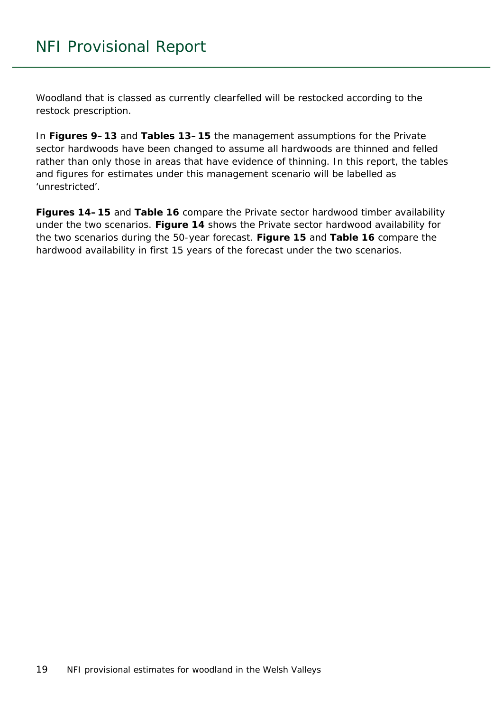Woodland that is classed as currently clearfelled will be restocked according to the restock prescription.

In **Figures 9–13** and **Tables 13–15** the management assumptions for the Private sector hardwoods have been changed to assume all hardwoods are thinned and felled rather than only those in areas that have evidence of thinning. In this report, the tables and figures for estimates under this management scenario will be labelled as 'unrestricted'.

**Figures 14–15** and **Table 16** compare the Private sector hardwood timber availability under the two scenarios. **Figure 14** shows the Private sector hardwood availability for the two scenarios during the 50-year forecast. **Figure 15** and **Table 16** compare the hardwood availability in first 15 years of the forecast under the two scenarios.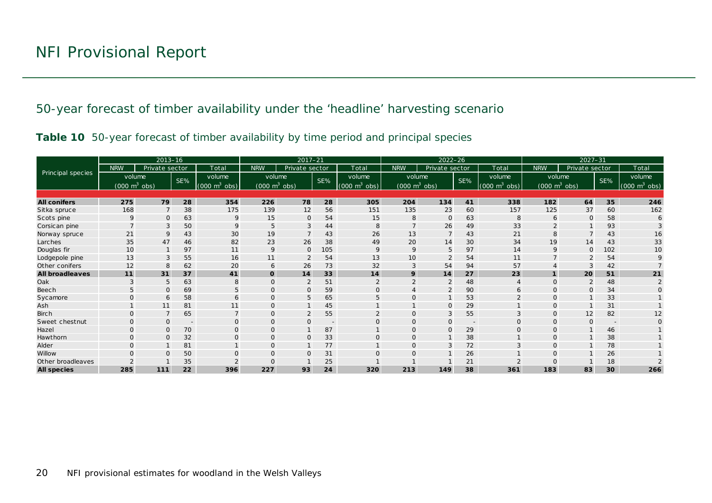50-year forecast of timber availability under the 'headline' harvesting scenario

|  |  | Table 10 50-year forecast of timber availability by time period and principal species |  |  |
|--|--|---------------------------------------------------------------------------------------|--|--|
|  |  |                                                                                       |  |  |

<span id="page-19-1"></span><span id="page-19-0"></span>

|                        |              | $2013 - 16$                     |                          |                               |                                 | $2017 - 21$    |     |                             | $2022 - 26$                     |                |                          |                                 | $2027 - 31$                     |                |                          |                                 |
|------------------------|--------------|---------------------------------|--------------------------|-------------------------------|---------------------------------|----------------|-----|-----------------------------|---------------------------------|----------------|--------------------------|---------------------------------|---------------------------------|----------------|--------------------------|---------------------------------|
|                        | <b>NRW</b>   | Private sector                  |                          | Total                         | <b>NRW</b>                      | Private sector |     | Total                       | <b>NRW</b>                      | Private sector |                          | Total                           | <b>NRW</b>                      | Private sector |                          | Total                           |
| Principal species      |              | volume                          | SE%                      | volume                        | volume                          |                | SE% | volume                      | volume                          |                | SE%                      | volume                          | volume                          |                | SE%                      | volume                          |
|                        |              | $(000 \text{ m}^3 \text{ obs})$ |                          | $(000 \; \text{m}^3)$<br>obs) | $(000 \text{ m}^3 \text{ obs})$ |                |     | $(000 \text{ m}^3)$<br>obs) | $(000 \text{ m}^3 \text{ obs})$ |                |                          | $(000 \text{ m}^3 \text{ obs})$ | $(000 \text{ m}^3 \text{ obs})$ |                |                          | $(000 \text{ m}^3 \text{ obs})$ |
|                        |              |                                 |                          |                               |                                 |                |     |                             |                                 |                |                          |                                 |                                 |                |                          |                                 |
| <b>All conifers</b>    | 275          | 79                              | 28                       | 354                           | 226                             | 78             | 28  | 305                         | 204                             | 134            | 41                       | 338                             | 182                             | 64             | 35                       | 246                             |
| Sitka spruce           | 168          |                                 | 38                       | 175                           | 139                             | 12             | 56  | 151                         | 135                             | 23             | 60                       | 157                             | 125                             | 37             | 60                       | 162                             |
| Scots pine             | Q            | $\Omega$                        | 63                       | 9                             | 15                              | 0              | 54  | 15                          | 8                               | $\mathbf 0$    | 63                       | 8                               | 6                               | $\Omega$       | 58                       |                                 |
| Corsican pine          |              | 3                               | 50                       |                               | 5                               | 3              | 44  | 8                           |                                 | 26             | 49                       | 33                              |                                 |                | 93                       |                                 |
| Norway spruce          | 21           | 9                               | 43                       | 30                            | 19                              | $\overline{7}$ | 43  | 26                          | 13                              | $\overline{7}$ | 43                       | 21                              | 8                               |                | 43                       | 16                              |
| Larches                | 35           | 47                              | 46                       | 82                            | 23                              | 26             | 38  | 49                          | 20                              | 14             | 30                       | 34                              | 19                              | 14             | 43                       | 33                              |
| Douglas fir            | 10           |                                 | 97                       | 11                            | 9                               | $\mathbf{O}$   | 105 | 9                           | 9                               | 5              | 97                       | 14                              | 9                               | O              | 102                      | 10                              |
| Lodgepole pine         | 13           | 3                               | 55                       | 16                            | 11                              | $\overline{2}$ | 54  | 13                          | 10                              | $\overline{2}$ | 54                       | 11                              |                                 |                | 54                       |                                 |
| Other conifers         | 12           | 8                               | 62                       | 20                            | 6                               | 26             | 73  | 32                          | 3                               | 54             | 94                       | 57                              |                                 |                | 42                       |                                 |
| <b>All broadleaves</b> | 11           | 31                              | 37                       | 41                            | $\mathbf{o}$                    | 14             | 33  | 14                          | 9                               | 14             | 27                       | 23                              |                                 | 20             | 51                       | 21                              |
| Oak                    |              | 5                               | 63                       | 8                             | $\Omega$                        | $\overline{2}$ | 51  |                             |                                 | $\overline{2}$ | 48                       |                                 | $\Omega$                        |                | 48                       |                                 |
| Beech                  | 5            | $\Omega$                        | 69                       |                               | $\Omega$                        | $\mathsf{O}$   | 59  | $\Omega$                    |                                 | $\overline{2}$ | 90                       | 6                               | $\Omega$                        | O              | 34                       |                                 |
| Sycamore               | $\Omega$     | 6                               | 58                       | 6                             | $\mathbf{O}$                    | 5              | 65  | 5                           |                                 |                | 53                       | $\mathcal{P}$                   | $\Omega$                        |                | 33                       |                                 |
| Ash                    |              | 11                              | 81                       | 11                            | $\mathbf 0$                     |                | 45  |                             |                                 | $\mathbf{O}$   | 29                       |                                 | $\Omega$                        |                | 31                       |                                 |
| <b>Birch</b>           | $\Omega$     |                                 | 65                       |                               | $\mathbf{O}$                    | 2              | 55  |                             |                                 | 3              | 55                       |                                 | $\Omega$                        | 12             | 82                       | 12                              |
| Sweet chestnut         | $\Omega$     | $\Omega$                        | $\overline{\phantom{a}}$ | $\Omega$                      | $\mathbf{O}$                    | $\mathsf{O}$   |     | $\Omega$                    |                                 | $\Omega$       | $\overline{\phantom{m}}$ |                                 | $\Omega$                        | $\Omega$       | $\overline{\phantom{a}}$ |                                 |
| Hazel                  | $\Omega$     | $\Omega$                        | 70                       | $\Omega$                      | $\mathbf{O}$                    | $\mathbf{1}$   | 87  |                             | $\Omega$                        | $\mathbf{O}$   | 29                       | $\Omega$                        | $\Omega$                        |                | 46                       |                                 |
| Hawthorn               | $\mathbf{O}$ | $\Omega$                        | 32                       | $\mathsf{O}$                  | $\mathbf{O}$                    | $\mathbf 0$    | 33  | $\mathbf{O}$                | $\mathbf{O}$                    |                | 38                       |                                 | $\circ$                         |                | 38                       |                                 |
| Alder                  | $\Omega$     |                                 | 81                       |                               | $\Omega$                        |                | 77  |                             | $\Omega$                        | 3              | 72                       |                                 | $\Omega$                        |                | 78                       |                                 |
| Willow                 | $\Omega$     | $\Omega$                        | 50                       | $\Omega$                      | $\mathbf{O}$                    | $\mathbf{O}$   | 31  | $\Omega$                    |                                 |                | 26                       |                                 | $\Omega$                        |                | 26                       |                                 |
| Other broadleaves      |              |                                 | 35                       |                               | $\Omega$                        |                | 25  |                             |                                 |                | 21                       |                                 | C                               |                | 18                       |                                 |
| <b>All species</b>     | 285          | 111                             | 22                       | 396                           | 227                             | 93             | 24  | 320                         | 213                             | 149            | 38                       | 361                             | 183                             | 83             | 30                       | 266                             |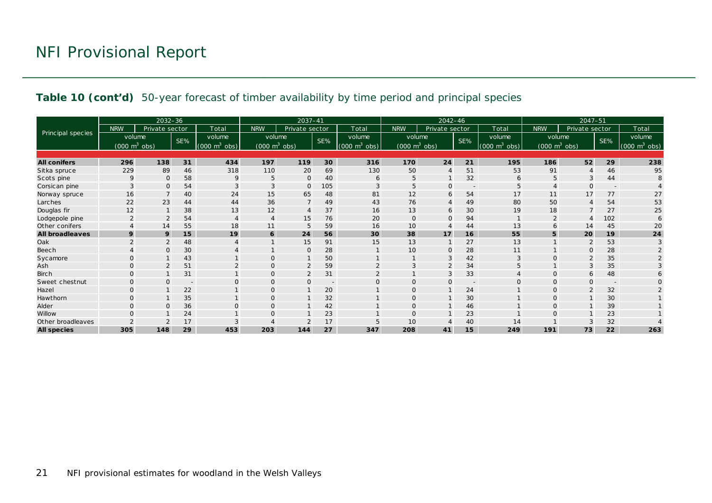#### **Table 10 (cont'd)** 50-year forecast of timber availability by time period and principal species

|                        |                                     | 2032-36        |                          |                                 |                                     | $2037 - 41$    |                          |                                 | 2042-46                         |                |                          |                                     | $2047 - 51$                     |                |                          |                                 |
|------------------------|-------------------------------------|----------------|--------------------------|---------------------------------|-------------------------------------|----------------|--------------------------|---------------------------------|---------------------------------|----------------|--------------------------|-------------------------------------|---------------------------------|----------------|--------------------------|---------------------------------|
|                        | <b>NRW</b>                          | Private sector |                          | Total                           | <b>NRW</b>                          | Private sector |                          | Total                           | <b>NRW</b>                      | Private sector |                          | Total                               | <b>NRW</b>                      | Private sector |                          | Total                           |
| Principal species      | volume                              |                | SE%                      | volume                          | volume                              |                | SE%                      | volume                          | volume                          |                | SE%                      | volume                              | volume                          |                | SE%                      | volume                          |
|                        | $(000 \; \text{m}^3 \; \text{obs})$ |                |                          | $(000 \text{ m}^3 \text{ obs})$ | $(000 \; \text{m}^3 \; \text{obs})$ |                |                          | $(000 \text{ m}^3 \text{ obs})$ | $(000 \text{ m}^3 \text{ obs})$ |                |                          | $(000 \; \text{m}^3 \; \text{obs})$ | $(000 \text{ m}^3 \text{ obs})$ |                |                          | $(000 \text{ m}^3 \text{ obs})$ |
|                        |                                     |                |                          |                                 |                                     |                |                          |                                 |                                 |                |                          |                                     |                                 |                |                          |                                 |
| <b>All conifers</b>    | 296                                 | 138            | 31                       | 434                             | 197                                 | 119            | 30                       | 316                             | 170                             | 24             | 21                       | 195                                 | 186                             | 52             | 29                       | 238                             |
| Sitka spruce           | 229                                 | 89             | 46                       | 318                             | 110                                 | 20             | 69                       | 130                             | 50                              | $\overline{4}$ | 51                       | 53                                  | 91                              |                | 46                       | 95                              |
| Scots pine             | $\mathsf{Q}$                        | $\Omega$       | 58                       | 9                               | 5                                   | $\mathbf{O}$   | 40                       | 6                               | 5                               |                | 32                       | 6                                   | 5                               |                | 44                       | 8                               |
| Corsican pine          | 3                                   | $\mathbf 0$    | 54                       |                                 | 3                                   | 0              | 105                      | 3                               | 5                               | 0              | $\overline{\phantom{a}}$ | 5                                   |                                 | $\Omega$       | $\overline{\phantom{a}}$ |                                 |
| Norway spruce          | 16                                  |                | 40                       | 24                              | 15                                  | 65             | 48                       | 81                              | 12                              | 6              | 54                       | 17                                  | 11                              | 17             | 77                       | 27                              |
| Larches                | 22                                  | 23             | 44                       | 44                              | 36                                  | $\overline{7}$ | 49                       | 43                              | 76                              | $\overline{4}$ | 49                       | 80                                  | 50                              |                | 54                       | 53                              |
| Douglas fir            | 12                                  |                | 38                       | 13                              | 12                                  | $\overline{4}$ | 37                       | 16                              | 13                              | 6              | 30                       | 19                                  | 18                              |                | 27                       | 25                              |
| Lodgepole pine         |                                     | $\overline{2}$ | 54                       |                                 | 4                                   | 15             | 76                       | 20                              | $\mathbf{O}$                    | $\mathbf{0}$   | 94                       |                                     |                                 |                | 102                      | 6                               |
| Other conifers         |                                     | 14             | 55                       | 18                              | 11                                  | 5              | 59                       | 16                              | 10                              | $\overline{4}$ | 44                       | 13                                  | $\sigma$                        | 14             | 45                       | 20                              |
| <b>All broadleaves</b> | 9                                   | 9              | 15                       | 19                              | 6                                   | 24             | 56                       | 30                              | 38                              | 17             | 16                       | 55                                  | 5                               | 20             | 19                       | 24                              |
| Oak                    | $\overline{2}$                      | 2              | 48                       |                                 |                                     | 15             | 91                       | 15                              | 13                              |                | 27                       | 13                                  |                                 | 2              | 53                       | 3                               |
| Beech                  |                                     | $\Omega$       | 30                       |                                 |                                     | $\mathbf{O}$   | 28                       |                                 | 10                              | $\mathbf{O}$   | 28                       | 11                                  |                                 | O              | 28                       |                                 |
| Sycamore               | $\Omega$                            |                | 43                       |                                 | $\Omega$                            |                | 50                       |                                 |                                 | 3              | 42                       |                                     | $\mathcal{C}$                   |                | 35                       |                                 |
| Ash                    | $\Omega$                            | $\overline{2}$ | 51                       | $\mathcal{P}$                   | $\mathbf{O}$                        | $\overline{2}$ | 59                       | $\overline{2}$                  |                                 | $\overline{2}$ | 34                       |                                     |                                 | 3              | 35                       |                                 |
| <b>Birch</b>           | $\mathbf{O}$                        |                | 31                       |                                 | $\mathbf{0}$                        | $\overline{2}$ | 31                       |                                 |                                 | 3              | 33                       |                                     | $\mathbf 0$                     | 6              | 48                       |                                 |
| Sweet chestnut         | $\Omega$                            | $\Omega$       | $\overline{\phantom{a}}$ | $\Omega$                        | $\mathbf{O}$                        | $\mathsf{O}$   | $\overline{\phantom{a}}$ | $\Omega$                        | $\Omega$                        | $\Omega$       | $\overline{\phantom{a}}$ |                                     | $\Omega$                        |                | $\overline{\phantom{a}}$ |                                 |
| Hazel                  | $\mathbf{O}$                        |                | 22                       |                                 | $\mathbf{O}$                        |                | 20                       |                                 |                                 |                | 24                       |                                     | $\mathcal{C}$                   |                | 32                       |                                 |
| Hawthorn               | $\Omega$                            |                | 35                       |                                 | $\mathbf{O}$                        | $\mathbf{1}$   | 32                       |                                 | $\Omega$                        |                | 30                       |                                     | $\Omega$                        |                | 30                       |                                 |
| Alder                  | 0                                   | $\Omega$       | 36                       | $\Omega$                        | $\mathbf{O}$                        |                | 42                       |                                 |                                 |                | 46                       |                                     | $\Omega$                        |                | 39                       |                                 |
| Willow                 | $\Omega$                            |                | 24                       |                                 | $\Omega$                            |                | 23                       |                                 | $\Omega$                        |                | 23                       |                                     | $\Omega$                        |                | 23                       |                                 |
| Other broadleaves      |                                     |                | 17                       |                                 |                                     | $\overline{2}$ | 17                       |                                 | 10                              |                | 40                       | 14                                  |                                 |                | 32                       |                                 |
| <b>All species</b>     | 305                                 | 148            | 29                       | 453                             | 203                                 | 144            | 27                       | 347                             | 208                             | 41             | 15                       | 249                                 | 191                             | 73             | 22                       | 263                             |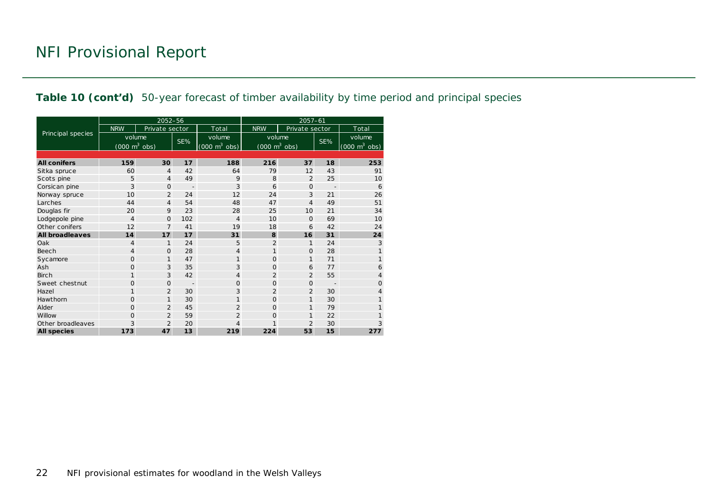#### **Table 10 (cont'd)** 50-year forecast of timber availability by time period and principal species

|                        |                                 | 2052-56        |                          |                                 | $2057 - 61$                         |                |                          |                                     |  |  |  |
|------------------------|---------------------------------|----------------|--------------------------|---------------------------------|-------------------------------------|----------------|--------------------------|-------------------------------------|--|--|--|
|                        | <b>NRW</b>                      | Private sector |                          | Total                           | <b>NRW</b>                          | Private sector |                          | Total                               |  |  |  |
| Principal species      | volume                          |                | SE%                      | volume                          | volume                              |                | SE%                      | volume                              |  |  |  |
|                        | $(000 \text{ m}^3 \text{ obs})$ |                |                          | $(000 \text{ m}^3 \text{ obs})$ | $(000 \; \text{m}^3 \; \text{obs})$ |                |                          | $(000 \; \text{m}^3 \; \text{obs})$ |  |  |  |
|                        |                                 |                |                          |                                 |                                     |                |                          |                                     |  |  |  |
| <b>All conifers</b>    | 159                             | 30             | 17                       | 188                             | 216                                 | 37             | 18                       | 253                                 |  |  |  |
| Sitka spruce           | 60                              | $\overline{4}$ | 42                       | 64                              | 79                                  | 12             | 43                       | 91                                  |  |  |  |
| Scots pine             | 5                               | $\overline{4}$ | 49                       | 9                               | 8                                   | $\overline{2}$ | 25                       | 10                                  |  |  |  |
| Corsican pine          | 3                               | $\Omega$       | $\overline{\phantom{a}}$ | 3                               | 6                                   | $\mathbf{O}$   | $\overline{\phantom{a}}$ | 6                                   |  |  |  |
| Norway spruce          | 10                              | $\overline{2}$ | 24                       | 12                              | 24                                  | 3              | 21                       | 26                                  |  |  |  |
| Larches                | 44                              | $\overline{4}$ | 54                       | 48                              | 47                                  | $\overline{4}$ | 49                       | 51                                  |  |  |  |
| Douglas fir            | 20                              | 9              | 23                       | 28                              | 25                                  | 10             | 21                       | 34                                  |  |  |  |
| Lodgepole pine         | $\overline{4}$                  | $\Omega$       | 102                      | 4                               | 10                                  | $\Omega$       | 69                       | 10                                  |  |  |  |
| Other conifers         | 12                              | $\overline{7}$ | 41                       | 19                              | 18                                  | 6              | 42                       | 24                                  |  |  |  |
| <b>All broadleaves</b> | 14                              | 17             | 17                       | 31                              | 8                                   | 16             | 31                       | 24                                  |  |  |  |
| Oak                    | $\overline{4}$                  | 1              | 24                       | 5                               | $\overline{2}$                      | $\mathbf{1}$   | 24                       | 3                                   |  |  |  |
| Beech                  | $\overline{4}$                  | $\Omega$       | 28                       | 4                               | $\mathbf{1}$                        | $\mathbf{O}$   | 28                       | 1                                   |  |  |  |
| Sycamore               | $\Omega$                        | 1              | 47                       | 1                               | $\Omega$                            | $\mathbf{1}$   | 71                       | 1                                   |  |  |  |
| Ash                    | $\circ$                         | 3              | 35                       | 3                               | $\Omega$                            | 6              | 77                       | 6                                   |  |  |  |
| <b>Birch</b>           | 1                               | 3              | 42                       | 4                               | $\overline{2}$                      | $\overline{2}$ | 55                       | 4                                   |  |  |  |
| Sweet chestnut         | $\Omega$                        | $\Omega$       |                          | $\Omega$                        | $\Omega$                            | $\Omega$       |                          | $\Omega$                            |  |  |  |
| Hazel                  | $\mathbf{1}$                    | $\overline{2}$ | 30                       | 3                               | $\overline{2}$                      | $\overline{2}$ | 30                       | 4                                   |  |  |  |
| Hawthorn               | $\Omega$                        | $\mathbf{1}$   | 30                       | 1                               | $\Omega$                            | $\mathbf{1}$   | 30                       | 1                                   |  |  |  |
| Alder                  | $\circ$                         | $\overline{2}$ | 45                       | $\overline{2}$                  | $\Omega$                            | 1              | 79                       | 1                                   |  |  |  |
| Willow                 | $\Omega$                        | $\overline{2}$ | 59                       | $\overline{2}$                  | $\Omega$                            | $\mathbf{1}$   | 22                       | 1                                   |  |  |  |
| Other broadleaves      | 3                               | $\overline{2}$ | 20                       | 4                               | 1                                   | $\overline{2}$ | 30                       | 3                                   |  |  |  |
| <b>All species</b>     | 173                             | 47             | 13                       | 219                             | 224                                 | 53             | 15                       | 277                                 |  |  |  |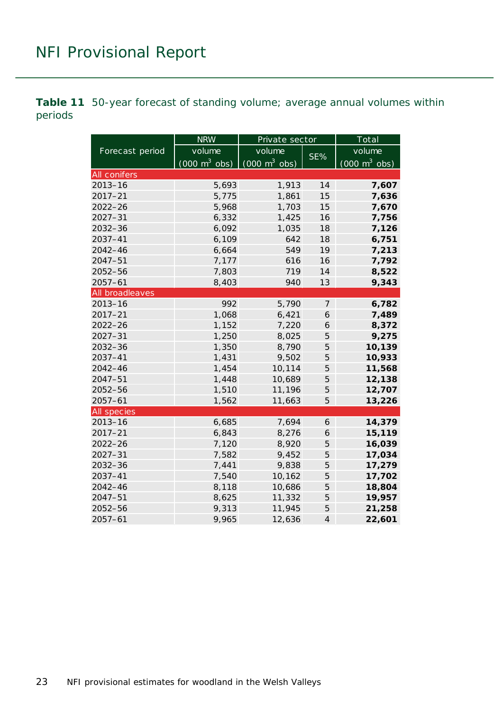<span id="page-22-0"></span>**Table 11** 50-year forecast of standing volume; average annual volumes within periods

|                    | <b>NRW</b>                      | Private sector                      |                | Total                           |  |  |
|--------------------|---------------------------------|-------------------------------------|----------------|---------------------------------|--|--|
| Forecast period    | volume                          | volume                              |                | volume                          |  |  |
|                    | $(000 \text{ m}^3 \text{ obs})$ | $(000 \; \text{m}^3 \; \text{obs})$ | SE%            | $(000 \text{ m}^3 \text{ obs})$ |  |  |
| All conifers       |                                 |                                     |                |                                 |  |  |
| $2013 - 16$        | 5,693                           | 1,913                               | 14             | 7,607                           |  |  |
| $2017 - 21$        | 5,775                           | 1,861                               | 15             | 7,636                           |  |  |
| $2022 - 26$        | 5,968                           | 1,703                               | 15             | 7,670                           |  |  |
| $2027 - 31$        | 6,332                           | 1,425                               | 16             | 7,756                           |  |  |
| $2032 - 36$        | 6,092                           | 1,035                               | 18             | 7,126                           |  |  |
| 2037-41            | 6,109                           | 642                                 | 18             | 6,751                           |  |  |
| $2042 - 46$        | 6,664                           | 549                                 | 19             | 7,213                           |  |  |
| 2047-51            | 7,177                           | 616                                 | 16             | 7,792                           |  |  |
| $2052 - 56$        | 7,803                           | 719                                 | 14             | 8,522                           |  |  |
| $2057 - 61$        | 8,403                           | 940                                 | 13             | 9,343                           |  |  |
| All broadleaves    |                                 |                                     |                |                                 |  |  |
| $2013 - 16$        | 992                             | 5,790                               | $\overline{z}$ | 6,782                           |  |  |
| $2017 - 21$        | 1,068                           | 6,421                               | 6              | 7,489                           |  |  |
| $2022 - 26$        | 1,152                           | 7,220                               | 6              | 8,372                           |  |  |
| $2027 - 31$        | 1,250                           | 8,025                               | 5              | 9,275                           |  |  |
| $2032 - 36$        | 1,350                           | 8,790                               | 5              | 10,139                          |  |  |
| 2037-41            | 1,431                           | 9,502                               | 5              | 10,933                          |  |  |
| $2042 - 46$        | 1,454                           | 10,114                              | 5              | 11,568                          |  |  |
| $2047 - 51$        | 1,448                           | 10,689                              | 5              | 12,138                          |  |  |
| $2052 - 56$        | 1,510                           | 11,196                              | 5              | 12,707                          |  |  |
| $2057 - 61$        | 1,562                           | 11,663                              | 5              | 13,226                          |  |  |
| <b>All species</b> |                                 |                                     |                |                                 |  |  |
| $2013 - 16$        | 6,685                           | 7,694                               | 6              | 14,379                          |  |  |
| $2017 - 21$        | 6,843                           | 8,276                               | 6              | 15,119                          |  |  |
| $2022 - 26$        | 7,120                           | 8,920                               | 5              | 16,039                          |  |  |
| $2027 - 31$        | 7,582                           | 9,452                               | 5              | 17,034                          |  |  |
| $2032 - 36$        | 7,441                           | 9,838                               | 5              | 17,279                          |  |  |
| 2037-41            | 7,540                           | 10,162                              | 5              | 17,702                          |  |  |
| $2042 - 46$        | 8,118                           | 10,686                              | 5              | 18,804                          |  |  |
| 2047-51            | 8,625                           | 11,332                              | 5              | 19,957                          |  |  |
| 2052-56            | 9,313                           | 11,945                              | 5              | 21,258                          |  |  |
| $2057 - 61$        | 9,965                           | 12,636                              | $\overline{4}$ | 22,601                          |  |  |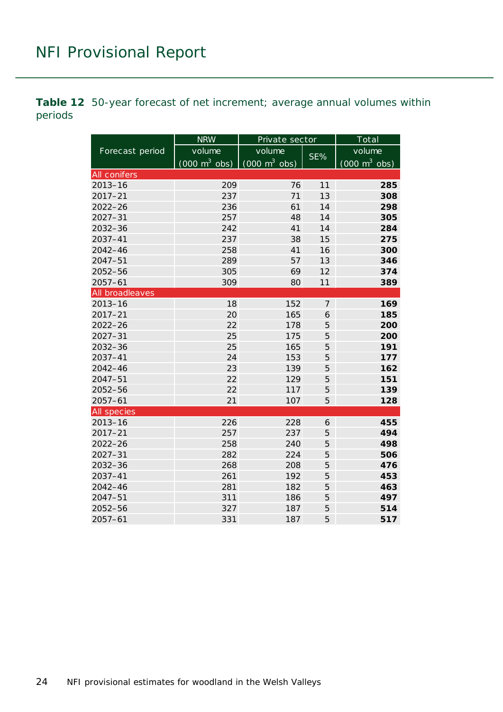<span id="page-23-0"></span>**Table 12** 50-year forecast of net increment; average annual volumes within periods

|                 | <b>NRW</b>                      | Private sector                  |                | Total                           |  |  |
|-----------------|---------------------------------|---------------------------------|----------------|---------------------------------|--|--|
| Forecast period | volume                          | volume                          |                | volume                          |  |  |
|                 | $(000 \text{ m}^3 \text{ obs})$ | $(000 \text{ m}^3 \text{ obs})$ | SE%            | $(000 \text{ m}^3 \text{ obs})$ |  |  |
| All conifers    |                                 |                                 |                |                                 |  |  |
| $2013 - 16$     | 209                             | 76                              | 11             | 285                             |  |  |
| $2017 - 21$     | 237                             | 71                              | 13             | 308                             |  |  |
| $2022 - 26$     | 236                             | 61                              | 14             | 298                             |  |  |
| $2027 - 31$     | 257                             | 48                              | 14             | 305                             |  |  |
| $2032 - 36$     | 242                             | 41                              | 14             | 284                             |  |  |
| 2037-41         | 237                             | 38                              | 15             | 275                             |  |  |
| $2042 - 46$     | 258                             | 41                              | 16             | 300                             |  |  |
| $2047 - 51$     | 289                             | 57                              | 13             | 346                             |  |  |
| 2052-56         | 305                             | 69                              | 12             | 374                             |  |  |
| $2057 - 61$     | 309                             | 80                              | 11             | 389                             |  |  |
| All broadleaves |                                 |                                 |                |                                 |  |  |
| $2013 - 16$     | 18                              | 152                             | $\overline{7}$ | 169                             |  |  |
| $2017 - 21$     | 20                              | 165                             | 6              | 185                             |  |  |
| $2022 - 26$     | 22                              | 178                             | 5              | 200                             |  |  |
| $2027 - 31$     | 25                              | 175                             | 5              | 200                             |  |  |
| 2032-36         | 25                              | 165                             | 5              | 191                             |  |  |
| 2037-41         | 24                              | 153                             | 5              | 177                             |  |  |
| $2042 - 46$     | 23                              | 139                             | 5              | 162                             |  |  |
| $2047 - 51$     | 22                              | 129                             | 5              | 151                             |  |  |
| 2052-56         | 22                              | 117                             | 5              | 139                             |  |  |
| $2057 - 61$     | 21                              | 107                             | 5              | 128                             |  |  |
| All species     |                                 |                                 |                |                                 |  |  |
| $2013 - 16$     | 226                             | 228                             | 6              | 455                             |  |  |
| $2017 - 21$     | 257                             | 237                             | 5              | 494                             |  |  |
| $2022 - 26$     | 258                             | 240                             | 5              | 498                             |  |  |
| $2027 - 31$     | 282                             | 224                             | 5              | 506                             |  |  |
| $2032 - 36$     | 268                             | 208                             | 5              | 476                             |  |  |
| $2037 - 41$     | 261                             | 192                             | 5              | 453                             |  |  |
| $2042 - 46$     | 281                             | 182                             | 5              | 463                             |  |  |
| $2047 - 51$     | 311                             | 186                             | 5              | 497                             |  |  |
| 2052-56         | 327                             | 187                             | 5              | 514                             |  |  |
| $2057 - 61$     | 331                             | 187                             | 5              | 517                             |  |  |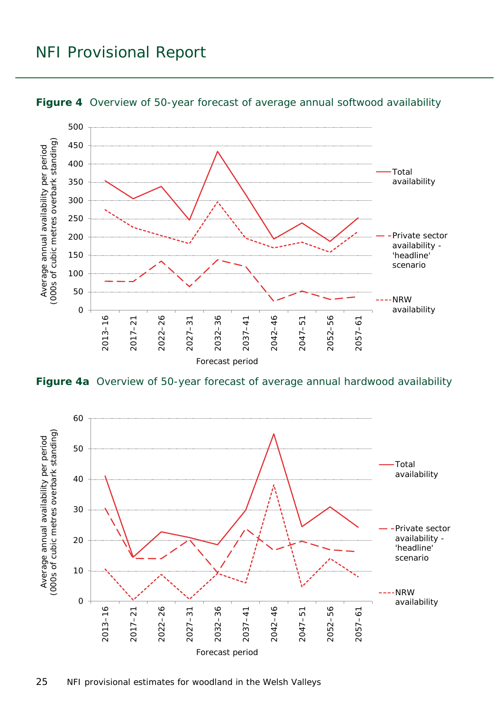

<span id="page-24-0"></span>**Figure 4** Overview of 50-year forecast of average annual softwood availability

<span id="page-24-1"></span>**Figure 4a** Overview of 50-year forecast of average annual hardwood availability

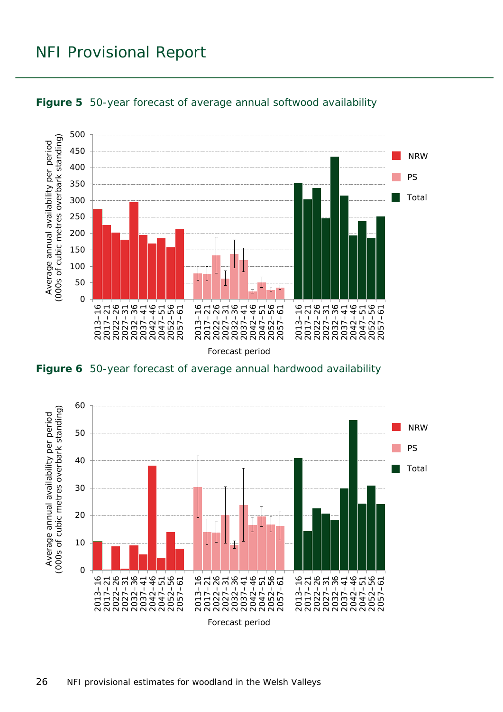

<span id="page-25-0"></span>

<span id="page-25-1"></span>**Figure 6** 50-year forecast of average annual hardwood availability

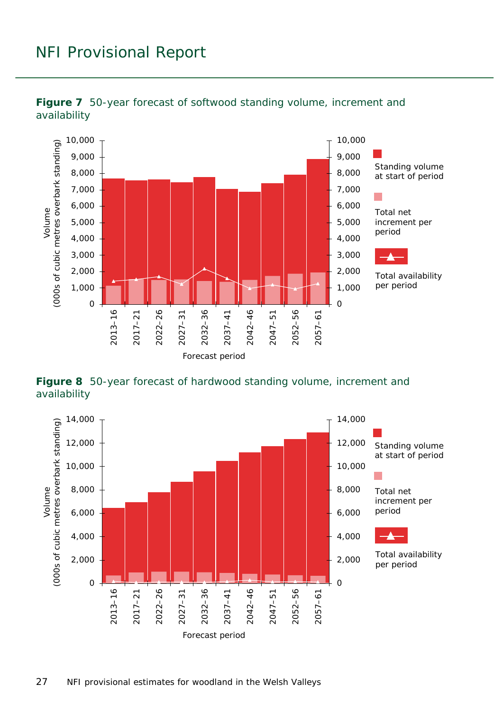

<span id="page-26-0"></span>

<span id="page-26-1"></span>**Figure 8** 50-year forecast of hardwood standing volume, increment and availability

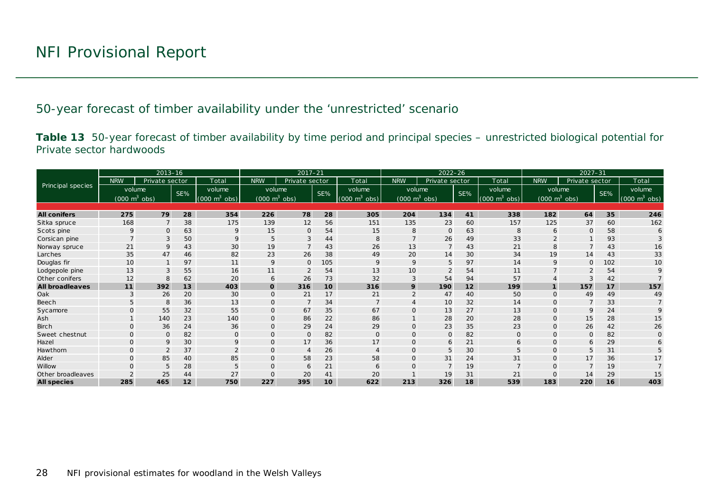50-year forecast of timber availability under the 'unrestricted' scenario

**Table 13** 50-year forecast of timber availability by time period and principal species – unrestricted biological potential for Private sector hardwoods

<span id="page-27-1"></span><span id="page-27-0"></span>

|                        |                                 | $2013 - 16$     |     |                               | $2022 - 26$<br>$2017 - 21$      |                |                 |                                 | $2027 - 31$                     |                |     |                                 |              |                                 |     |                                     |
|------------------------|---------------------------------|-----------------|-----|-------------------------------|---------------------------------|----------------|-----------------|---------------------------------|---------------------------------|----------------|-----|---------------------------------|--------------|---------------------------------|-----|-------------------------------------|
|                        | <b>NRW</b>                      | Private sector  |     | Total                         | <b>NRW</b>                      | Private sector |                 | Total                           | <b>NRW</b>                      | Private sector |     | Total                           | <b>NRW</b>   | Private sector                  |     | Total                               |
| Principal species      | volume                          |                 | SE% | volume                        | volume                          |                | SE%             | volume                          | volume                          |                | SE% | volume                          |              | volume                          | SE% | volume                              |
|                        | $(000 \text{ m}^3 \text{ obs})$ |                 |     | $(000 \; \text{m}^3)$<br>obs) | $(000 \text{ m}^3 \text{ obs})$ |                |                 | $(000 \text{ m}^3 \text{ obs})$ | $(000 \text{ m}^3 \text{ obs})$ |                |     | $(000 \text{ m}^3 \text{ obs})$ |              | $(000 \text{ m}^3 \text{ obs})$ |     | $(000 \; \text{m}^3 \; \text{obs})$ |
|                        |                                 |                 |     |                               |                                 |                |                 |                                 |                                 |                |     |                                 |              |                                 |     |                                     |
| <b>All conifers</b>    | 275                             | 79              | 28  | 354                           | 226                             | 78             | 28              | 305                             | 204                             | 134            | 41  | 338                             | 182          | 64                              | 35  | 246                                 |
| Sitka spruce           | 168                             | $7\overline{ }$ | 38  | 175                           | 139                             | 12             | 56              | 151                             | 135                             | 23             | 60  | 157                             | 125          | 37                              | 60  | 162                                 |
| Scots pine             | $\mathsf Q$                     | $\Omega$        | 63  | 9                             | 15                              | 0              | 54              | 15                              | 8                               | $\Omega$       | 63  | 8                               | 6            | $\Omega$                        | 58  | 6                                   |
| Corsican pine          |                                 | 3               | 50  |                               | 5                               | 3              | 44              | 8                               |                                 | 26             | 49  | 33                              |              |                                 | 93  |                                     |
| Norway spruce          | 21                              | 9               | 43  | 30                            | 19                              | $\overline{7}$ | 43              | 26                              | 13                              | $\overline{7}$ | 43  | 21                              | 8            |                                 | 43  | 16                                  |
| Larches                | 35                              | 47              | 46  | 82                            | 23                              | 26             | 38              | 49                              | 20                              | 14             | 30  | 34                              | 19           | 14                              | 43  | 33                                  |
| Douglas fir            | 10                              |                 | 97  | 11                            | 9                               | $\mathbf{O}$   | 105             | 9                               | 9                               | 5              | 97  | 14                              | 9            | $\Omega$                        | 102 | 10                                  |
| Lodgepole pine         | 13                              |                 | 55  | 16                            | 11                              |                | 54              | 13                              | 10                              |                | 54  | 11                              |              |                                 | 54  |                                     |
| Other conifers         | 12                              | 8               | 62  | 20                            | 6                               | 26             | 73              | 32                              | 3                               | 54             | 94  | 57                              |              |                                 | 42  |                                     |
| <b>All broadleaves</b> | 11                              | 392             | 13  | 403                           | $\mathbf{o}$                    | 316            | 10 <sup>1</sup> | 316                             | 9                               | 190            | 12  | 199                             |              | 157                             | 17  | 157                                 |
| Oak                    |                                 | 26              | 20  | 30                            | $\mathbf{O}$                    | 21             | 17              | 21                              |                                 | 47             | 40  | 50                              | $\Omega$     | 49                              | 49  | 49                                  |
| Beech                  |                                 | 8               | 36  | 13                            | $\Omega$                        |                | 34              |                                 |                                 | 10             | 32  | 14                              | $\Omega$     |                                 | 33  |                                     |
| Sycamore               |                                 | 55              | 32  | 55                            | $\mathbf{O}$                    | 67             | 35              | 67                              | $\mathsf{O}$                    | 13             | 27  | 13                              | $\Omega$     | 9                               | 24  |                                     |
| Ash                    |                                 | 140             | 23  | 140                           | $\mathbf{O}$                    | 86             | 22              | 86                              |                                 | 28             | 20  | 28                              | $\mathbf{O}$ | 15                              | 28  | 15                                  |
| <b>Birch</b>           | $\Omega$                        | 36              | 24  | 36                            | $\mathbf{0}$                    | 29             | 24              | 29                              | $\Omega$                        | 23             | 35  | 23                              | $\mathbf{O}$ | 26                              | 42  | 26                                  |
| Sweet chestnut         |                                 | $\Omega$        | 82  | $\Omega$                      | $\mathbf{O}$                    | $\Omega$       | 82              | $\Omega$                        | $\Omega$                        | $\mathbf{0}$   | 82  | $\mathbf{O}$                    | $\Omega$     | $\Omega$                        | 82  |                                     |
| Hazel                  | $\Omega$                        | $\mathsf{Q}$    | 30  | 9                             | $\mathbf{O}$                    | 17             | 36              | 17                              | $\Omega$                        | 6              | 21  | 6                               | $\Omega$     | 6                               | 29  |                                     |
| Hawthorn               | $\Omega$                        | $\overline{2}$  | 37  | $\overline{2}$                | $\mathbf{O}$                    | $\overline{4}$ | 26              | $\overline{4}$                  | $\Omega$                        | 5              | 30  | 5                               | $\Omega$     | 5                               | 31  |                                     |
| Alder                  | $\Omega$                        | 85              | 40  | 85                            | $\mathbf{0}$                    | 58             | 23              | 58                              | $\Omega$                        | 31             | 24  | 31                              | $\Omega$     | 17                              | 36  | 17                                  |
| Willow                 |                                 | 5               | 28  |                               | $\mathbf{O}$                    | 6              | 21              | 6                               |                                 | $\overline{7}$ | 19  |                                 | $\Omega$     |                                 | 19  |                                     |
| Other broadleaves      |                                 | 25              | 44  | 27                            | $\Omega$                        | 20             | 41              | 20                              |                                 | 19             | 31  | 21                              | $\Omega$     | 14                              | 29  | 15                                  |
| <b>All species</b>     | 285                             | 465             | 12  | 750                           | 227                             | 395            | 10              | 622                             | 213                             | 326            | 18  | 539                             | 183          | 220                             | 16  | 403                                 |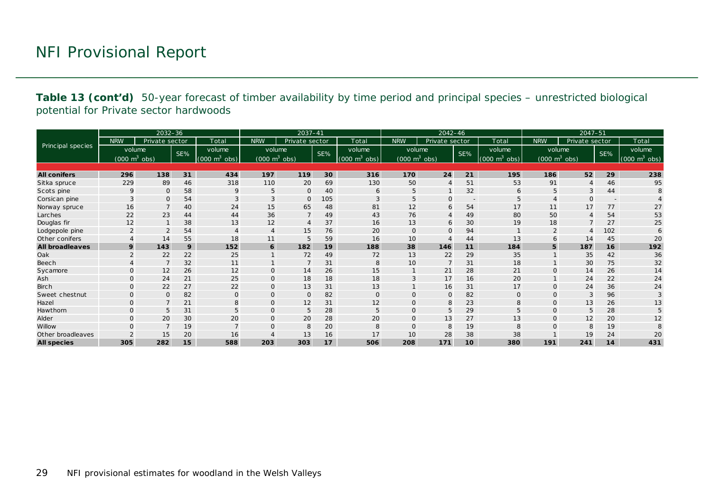**Table 13 (cont'd)** 50-year forecast of timber availability by time period and principal species – unrestricted biological potential for Private sector hardwoods

|                        |                                 | $2032 - 36$    |     |                             |                                 | $2037 - 41$    |     |                                 |                                 | 2042-46          |                          |                                 |                | $2047 - 51$                     |                          |                                     |
|------------------------|---------------------------------|----------------|-----|-----------------------------|---------------------------------|----------------|-----|---------------------------------|---------------------------------|------------------|--------------------------|---------------------------------|----------------|---------------------------------|--------------------------|-------------------------------------|
|                        | <b>NRW</b>                      | Private sector |     | Total                       | <b>NRW</b>                      | Private sector |     | Total                           | <b>NRW</b>                      | Private sector   |                          | Total                           | <b>NRW</b>     | Private sector                  |                          | Total                               |
| Principal species      | volume                          |                | SE% | volume                      | volume                          |                | SE% | volume                          | volume                          |                  | SE%                      | volume                          |                | volume                          | SE%                      | volume                              |
|                        | $(000 \text{ m}^3 \text{ obs})$ |                |     | $(000 \text{ m}^3)$<br>obs) | $(000 \text{ m}^3 \text{ obs})$ |                |     | $(000 \text{ m}^3 \text{ obs})$ | $(000 \text{ m}^3 \text{ obs})$ |                  |                          | $(000 \text{ m}^3 \text{ obs})$ |                | $(000 \text{ m}^3 \text{ obs})$ |                          | $(000 \; \text{m}^3 \; \text{obs})$ |
|                        |                                 |                |     |                             |                                 |                |     |                                 |                                 |                  |                          |                                 |                |                                 |                          |                                     |
| <b>All conifers</b>    | 296                             | 138            | 31  | 434                         | 197                             | 119            | 30  | 316                             | 170                             | 24               | 21                       | 195                             | 186            | 52                              | 29                       | 238                                 |
| Sitka spruce           | 229                             | 89             | 46  | 318                         | 110                             | 20             | 69  | 130                             | 50                              | 4                | 51                       | 53                              | 91             |                                 | 46                       | 95                                  |
| Scots pine             | 9                               | $\mathbf{O}$   | 58  | 9                           | 5                               | $\mathsf{O}$   | 40  | 6                               | 5                               |                  | 32                       | 6                               |                | 3                               | 44                       | 8                                   |
| Corsican pine          | 3                               | $\Omega$       | 54  | 3                           | 3                               | $\mathbf{O}$   | 105 | 3                               | 5                               | $\mathbf{O}$     | $\overline{\phantom{a}}$ | 5                               | $\overline{4}$ | $\Omega$                        | $\overline{\phantom{a}}$ |                                     |
| Norway spruce          | 16                              |                | 40  | 24                          | 15                              | 65             | 48  | 81                              | 12                              | 6                | 54                       | 17                              | 11             | 17                              | 77                       | 27                                  |
| Larches                | 22                              | 23             | 44  | 44                          | 36                              | $\overline{7}$ | 49  | 43                              | 76                              | 4                | 49                       | 80                              | 50             |                                 | 54                       | 53                                  |
| Douglas fir            | 12                              |                | 38  | 13                          | 12                              | $\overline{4}$ | 37  | 16                              | 13                              | 6                | 30                       | 19                              | 18             |                                 | 27                       | 25                                  |
| Lodgepole pine         |                                 |                | 54  |                             | $\overline{4}$                  | 15             | 76  | 20                              | O                               | $\mathbf{O}$     | 94                       |                                 |                |                                 | 102                      | 6                                   |
| Other conifers         |                                 | 14             | 55  | 18                          | 11                              | 5              | 59  | 16                              | 10                              | $\boldsymbol{A}$ | 44                       | 13                              | 6              | 14                              | 45                       | 20                                  |
| <b>All broadleaves</b> | 9                               | 143            | 9   | 152                         | 6                               | 182            | 19  | 188                             | 38                              | 146              | 11                       | 184                             | 5              | 187                             | 16                       | 192                                 |
| Oak                    | 2                               | 22             | 22  | 25                          | $\mathbf{1}$                    | 72             | 49  | 72                              | 13                              | 22               | 29                       | 35                              |                | 35                              | 42                       | 36                                  |
| Beech                  |                                 |                | 32  | 11                          |                                 | $\overline{7}$ | 31  | 8                               | 10                              | $\overline{7}$   | 31                       | 18                              |                | 30                              | 75                       | 32                                  |
| Sycamore               |                                 | 12             | 26  | 12                          | $\mathbf 0$                     | 14             | 26  | 15                              |                                 | 21               | 28                       | 21                              |                | 14                              | 26                       | 14                                  |
| Ash                    | $\Omega$                        | 24             | 21  | 25                          | $\mathbf 0$                     | 18             | 18  | 18                              | 3                               | 17               | 16                       | 20                              |                | 24                              | 22                       | 24                                  |
| <b>Birch</b>           | $\mathbf{O}$                    | 22             | 27  | 22                          | $\mathbf 0$                     | 13             | 31  | 13                              |                                 | 16               | 31                       | 17                              | $\mathbf 0$    | 24                              | 36                       | 24                                  |
| Sweet chestnut         | $\Omega$                        | $\mathbf 0$    | 82  | $\mathbf{O}$                | $\mathbf 0$                     | $\mathbf{O}$   | 82  | $\mathbf 0$                     | 0                               | $\mathbf 0$      | 82                       | $\mathbf{0}$                    | $\Omega$       | 3                               | 96                       | 3                                   |
| Hazel                  | $\Omega$                        | $\overline{7}$ | 21  | 8                           | $\mathbf 0$                     | 12             | 31  | 12                              | O                               | 8                | 23                       | 8                               | $\Omega$       | 13                              | 26                       | 13                                  |
| Hawthorn               | $\Omega$                        | 5              | 31  | 5                           | $\mathbf 0$                     | 5              | 28  | 5                               | 0                               | 5                | 29                       | 5                               | $\Omega$       | 5                               | 28                       |                                     |
| Alder                  | $\Omega$                        | 20             | 30  | 20                          | $\mathsf{O}$                    | 20             | 28  | 20                              | $\Omega$                        | 13               | 27                       | 13                              | $\Omega$       | 12                              | 20                       | 12                                  |
| Willow                 |                                 | $\overline{7}$ | 19  | $\overline{ }$              | $\overline{O}$                  | 8              | 20  | 8                               | $\Omega$                        | 8                | 19                       | 8                               |                | 8                               | 19                       |                                     |
| Other broadleaves      |                                 | 15             | 20  | 16                          |                                 | 13             | 16  | 17                              | 10                              | 28               | 38                       | 38                              |                | 19                              | 24                       | 20                                  |
| <b>All species</b>     | 305                             | 282            | 15  | 588                         | 203                             | 303            | 17  | 506                             | 208                             | 171              | 10                       | 380                             | 191            | 241                             | 14                       | 431                                 |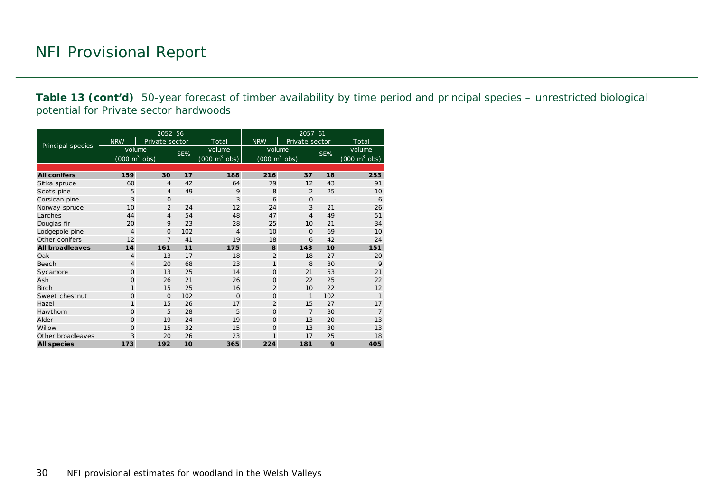**Table 13 (cont'd)** 50-year forecast of timber availability by time period and principal species – unrestricted biological potential for Private sector hardwoods

|                        |                                     | 2052-56        |                |                                     | $2057 - 61$                         |                |                |                                 |  |  |
|------------------------|-------------------------------------|----------------|----------------|-------------------------------------|-------------------------------------|----------------|----------------|---------------------------------|--|--|
|                        | <b>NRW</b>                          | Private sector |                | Total                               | <b>NRW</b>                          | Private sector |                | Total                           |  |  |
| Principal species      | volume                              |                |                | volume                              | volume                              |                |                | volume                          |  |  |
|                        | $(000 \; \text{m}^3 \; \text{obs})$ |                | SE%            | $(000 \; \text{m}^3 \; \text{obs})$ | $(000 \; \text{m}^3 \; \text{obs})$ |                | SE%            | $(000 \text{ m}^3 \text{ obs})$ |  |  |
|                        |                                     |                |                |                                     |                                     |                |                |                                 |  |  |
| <b>All conifers</b>    | 159                                 | 30             | 17             | 188                                 | 216                                 | 37             | 18             | 253                             |  |  |
| Sitka spruce           | 60                                  | $\overline{4}$ | 42             | 64                                  | 79                                  | 12             | 43             | 91                              |  |  |
| Scots pine             | 5                                   | $\overline{4}$ | 49             | 9                                   | 8                                   | $\overline{2}$ | 25             | 10                              |  |  |
| Corsican pine          | 3                                   | $\mathbf{O}$   | $\overline{a}$ | 3                                   | 6                                   | $\mathbf{O}$   | $\overline{a}$ | 6                               |  |  |
| Norway spruce          | 10                                  | $\overline{2}$ | 24             | 12                                  | 24                                  | 3              | 21             | 26                              |  |  |
| Larches                | 44                                  | $\overline{4}$ | 54             | 48                                  | 47                                  | 4              | 49             | 51                              |  |  |
| Douglas fir            | 20                                  | 9              | 23             | 28                                  | 25                                  | 10             | 21             | 34                              |  |  |
| Lodgepole pine         | $\overline{4}$                      | $\mathbf{O}$   | 102            | $\overline{4}$                      | 10                                  | $\mathbf{O}$   | 69             | 10                              |  |  |
| Other conifers         | 12                                  | $\overline{7}$ | 41             | 19                                  | 18                                  | 6              | 42             | 24                              |  |  |
| <b>All broadleaves</b> | 14                                  | 161            | 11             | 175                                 | 8                                   | 143            | 10             | 151                             |  |  |
| Oak                    | $\overline{4}$                      | 13             | 17             | 18                                  | $\overline{2}$                      | 18             | 27             | 20                              |  |  |
| Beech                  | $\overline{4}$                      | 20             | 68             | 23                                  | $\mathbf{1}$                        | 8              | 30             | 9                               |  |  |
| Sycamore               | $\Omega$                            | 13             | 25             | 14                                  | $\Omega$                            | 21             | 53             | 21                              |  |  |
| Ash                    | $\circ$                             | 26             | 21             | 26                                  | $\mathbf{O}$                        | 22             | 25             | 22                              |  |  |
| <b>Birch</b>           | $\mathbf{1}$                        | 15             | 25             | 16                                  | $\overline{2}$                      | 10             | 22             | 12                              |  |  |
| Sweet chestnut         | $\circ$                             | $\Omega$       | 102            | $\Omega$                            | $\Omega$                            | 1              | 102            | $\mathbf{1}$                    |  |  |
| Hazel                  | $\mathbf{1}$                        | 15             | 26             | 17                                  | $\overline{2}$                      | 15             | 27             | 17                              |  |  |
| Hawthorn               | $\Omega$                            | 5              | 28             | 5                                   | $\Omega$                            | $\overline{7}$ | 30             | $\overline{7}$                  |  |  |
| Alder                  | $\Omega$                            | 19             | 24             | 19                                  | $\Omega$                            | 13             | 20             | 13                              |  |  |
| Willow                 | $\Omega$                            | 15             | 32             | 15                                  | $\Omega$                            | 13             | 30             | 13                              |  |  |
| Other broadleaves      | 3                                   | 20             | 26             | 23                                  | 1                                   | 17             | 25             | 18                              |  |  |
| <b>All species</b>     | 173                                 | 192            | 10             | 365                                 | 224                                 | 181            | 9              | 405                             |  |  |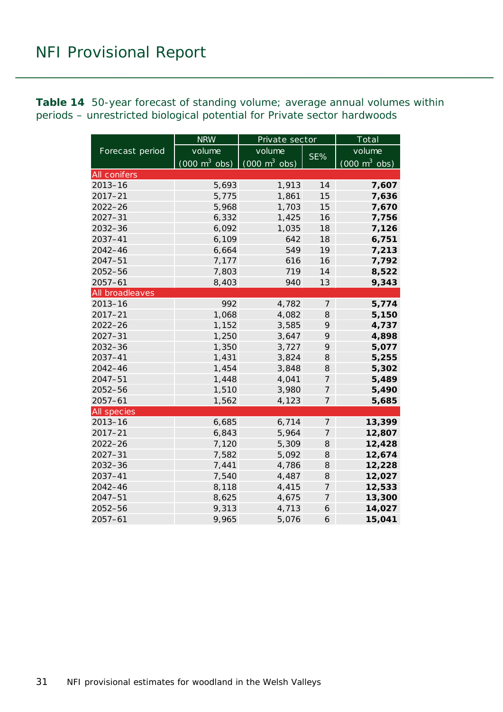<span id="page-30-0"></span>**Table 14** 50-year forecast of standing volume; average annual volumes within periods – unrestricted biological potential for Private sector hardwoods

|                 | <b>NRW</b>                      | Private sector                  |                | Total                           |  |  |
|-----------------|---------------------------------|---------------------------------|----------------|---------------------------------|--|--|
| Forecast period | volume                          | volume                          | SE%            | volume                          |  |  |
|                 | $(000 \text{ m}^3 \text{ obs})$ | $(000 \text{ m}^3 \text{ obs})$ |                | $(000 \text{ m}^3 \text{ obs})$ |  |  |
| All conifers    |                                 |                                 |                |                                 |  |  |
| $2013 - 16$     | 5,693                           | 1,913                           | 14             | 7,607                           |  |  |
| $2017 - 21$     | 5,775                           | 1,861                           | 15             | 7,636                           |  |  |
| $2022 - 26$     | 5,968                           | 1,703                           | 15             | 7,670                           |  |  |
| $2027 - 31$     | 6,332                           | 1,425                           | 16             | 7,756                           |  |  |
| 2032-36         | 6,092                           | 1,035                           | 18             | 7,126                           |  |  |
| 2037-41         | 6,109                           | 642                             | 18             | 6,751                           |  |  |
| $2042 - 46$     | 6,664                           | 549                             | 19             | 7,213                           |  |  |
| 2047-51         | 7,177                           | 616                             | 16             | 7,792                           |  |  |
| 2052-56         | 7,803                           | 719                             | 14             | 8,522                           |  |  |
| $2057 - 61$     | 8,403                           | 940                             | 13             | 9,343                           |  |  |
| All broadleaves |                                 |                                 |                |                                 |  |  |
| $2013 - 16$     | 992                             | 4,782                           | $\overline{7}$ | 5,774                           |  |  |
| $2017 - 21$     | 1,068                           | 4,082                           | 8              | 5,150                           |  |  |
| $2022 - 26$     | 1,152                           | 3,585                           | 9              | 4,737                           |  |  |
| $2027 - 31$     | 1,250                           | 3,647                           | 9              | 4,898                           |  |  |
| 2032-36         | 1,350                           | 3,727                           | 9              | 5,077                           |  |  |
| $2037 - 41$     | 1,431                           | 3,824                           | 8              | 5,255                           |  |  |
| 2042-46         | 1,454                           | 3,848                           | 8              | 5,302                           |  |  |
| $2047 - 51$     | 1,448                           | 4,041                           | 7              | 5,489                           |  |  |
| $2052 - 56$     | 1,510                           | 3,980                           | $\overline{7}$ | 5,490                           |  |  |
| $2057 - 61$     | 1,562                           | 4,123                           | 7              | 5,685                           |  |  |
| All species     |                                 |                                 |                |                                 |  |  |
| $2013 - 16$     | 6,685                           | 6,714                           | 7              | 13,399                          |  |  |
| $2017 - 21$     | 6,843                           | 5,964                           | 7              | 12,807                          |  |  |
| $2022 - 26$     | 7,120                           | 5,309                           | 8              | 12,428                          |  |  |
| $2027 - 31$     | 7,582                           | 5,092                           | 8              | 12,674                          |  |  |
| 2032-36         | 7,441                           | 4,786                           | 8              | 12,228                          |  |  |
| 2037-41         | 7,540                           | 4,487                           | 8              | 12,027                          |  |  |
| $2042 - 46$     | 8,118                           | 4,415                           | $\overline{7}$ | 12,533                          |  |  |
| $2047 - 51$     | 8,625                           | 4,675                           | $\overline{7}$ | 13,300                          |  |  |
| 2052-56         | 9,313                           | 4,713                           | 6              | 14,027                          |  |  |
| $2057 - 61$     | 9,965                           | 5,076                           | 6              | 15,041                          |  |  |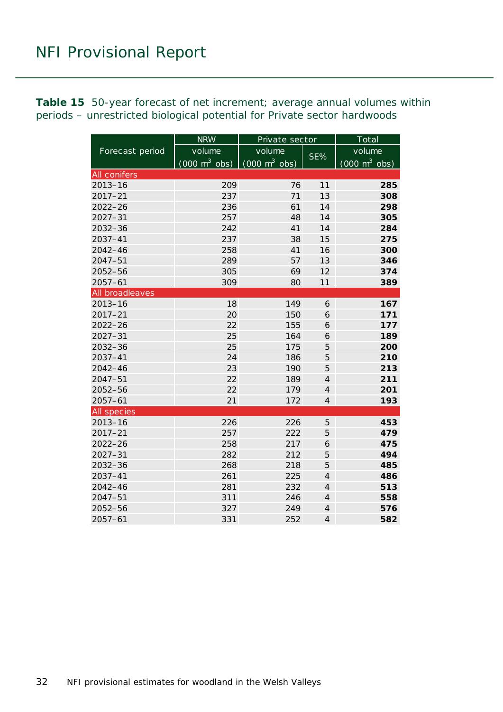<span id="page-31-0"></span>**Table 15** 50-year forecast of net increment; average annual volumes within periods – unrestricted biological potential for Private sector hardwoods

|                    | <b>NRW</b>                      | Private sector                  |                | Total                           |  |  |
|--------------------|---------------------------------|---------------------------------|----------------|---------------------------------|--|--|
| Forecast period    | volume                          | volume                          |                | volume                          |  |  |
|                    | $(000 \text{ m}^3 \text{ obs})$ | $(000 \text{ m}^3 \text{ obs})$ | SE%            | $(000 \text{ m}^3 \text{ obs})$ |  |  |
| All conifers       |                                 |                                 |                |                                 |  |  |
| $2013 - 16$        | 209                             | 76                              | 11             | 285                             |  |  |
| $2017 - 21$        | 237                             | 71                              | 13             | 308                             |  |  |
| $2022 - 26$        | 236                             | 61                              | 14             | 298                             |  |  |
| $2027 - 31$        | 257                             | 48                              | 14             | 305                             |  |  |
| 2032-36            | 242                             | 41                              | 14             | 284                             |  |  |
| 2037-41            | 237                             | 38                              | 15             | 275                             |  |  |
| 2042-46            | 258                             | 41                              | 16             | 300                             |  |  |
| 2047-51            | 289                             | 57                              | 13             | 346                             |  |  |
| 2052-56            | 305                             | 69                              | 12             | 374                             |  |  |
| $2057 - 61$        | 309                             | 80                              | 11             | 389                             |  |  |
| All broadleaves    |                                 |                                 |                |                                 |  |  |
| $2013 - 16$        | 18                              | 149                             | 6              | 167                             |  |  |
| $2017 - 21$        | 20                              | 150                             | 6              | 171                             |  |  |
| $2022 - 26$        | 22                              | 155                             | 6              | 177                             |  |  |
| $2027 - 31$        | 25                              | 164                             | 6              | 189                             |  |  |
| 2032-36            | 25                              | 175                             | 5              | 200                             |  |  |
| 2037-41            | 24                              | 186                             | 5              | 210                             |  |  |
| 2042-46            | 23                              | 190                             | 5              | 213                             |  |  |
| $2047 - 51$        | 22                              | 189                             | $\overline{4}$ | 211                             |  |  |
| 2052-56            | 22                              | 179                             | $\overline{4}$ | 201                             |  |  |
| $2057 - 61$        | 21                              | 172                             | $\overline{4}$ | 193                             |  |  |
| <b>All species</b> |                                 |                                 |                |                                 |  |  |
| $2013 - 16$        | 226                             | 226                             | $\sqrt{5}$     | 453                             |  |  |
| $2017 - 21$        | 257                             | 222                             | 5              | 479                             |  |  |
| $2022 - 26$        | 258                             | 217                             | 6              | 475                             |  |  |
| $2027 - 31$        | 282                             | 212                             | $\sqrt{5}$     | 494                             |  |  |
| $2032 - 36$        | 268                             | 218                             | $\sqrt{5}$     | 485                             |  |  |
| 2037-41            | 261                             | 225                             | $\overline{4}$ | 486                             |  |  |
| $2042 - 46$        | 281                             | 232                             | $\overline{4}$ | 513                             |  |  |
| $2047 - 51$        | 311                             | 246                             | $\overline{4}$ | 558                             |  |  |
| 2052-56            | 327                             | 249                             | $\overline{4}$ | 576                             |  |  |
| $2057 - 61$        | 331                             | 252                             | $\overline{4}$ | 582                             |  |  |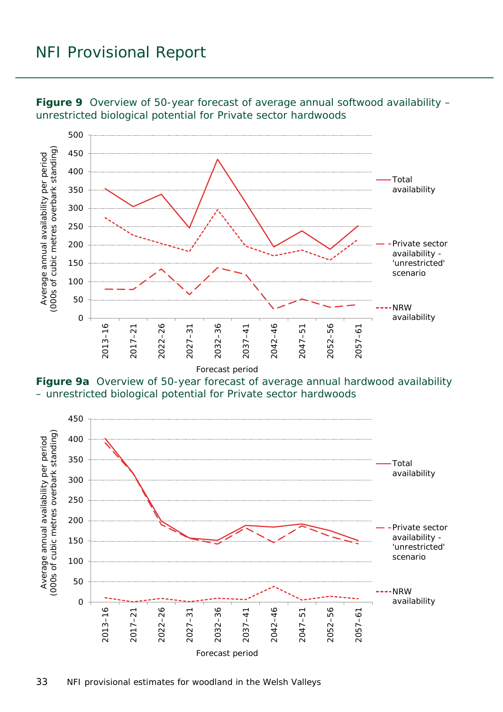

<span id="page-32-0"></span>**Figure 9** Overview of 50-year forecast of average annual softwood availability – unrestricted biological potential for Private sector hardwoods

<span id="page-32-1"></span>**Figure 9a** Overview of 50-year forecast of average annual hardwood availability – unrestricted biological potential for Private sector hardwoods

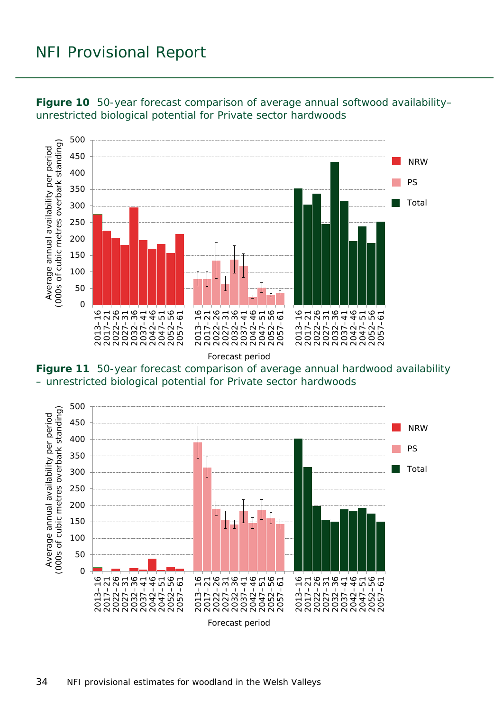

<span id="page-33-0"></span>**Figure 10** 50-year forecast comparison of average annual softwood availability– unrestricted biological potential for Private sector hardwoods

Forecast period

<span id="page-33-1"></span>**Figure 11** 50-year forecast comparison of average annual hardwood availability – unrestricted biological potential for Private sector hardwoods

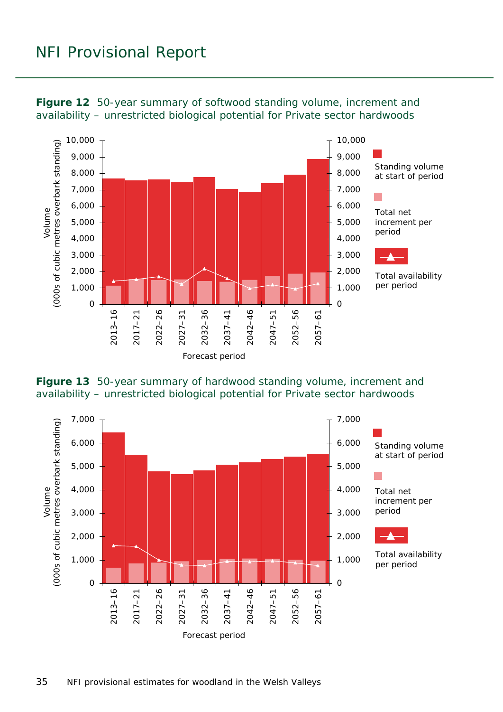

<span id="page-34-0"></span>

<span id="page-34-1"></span>

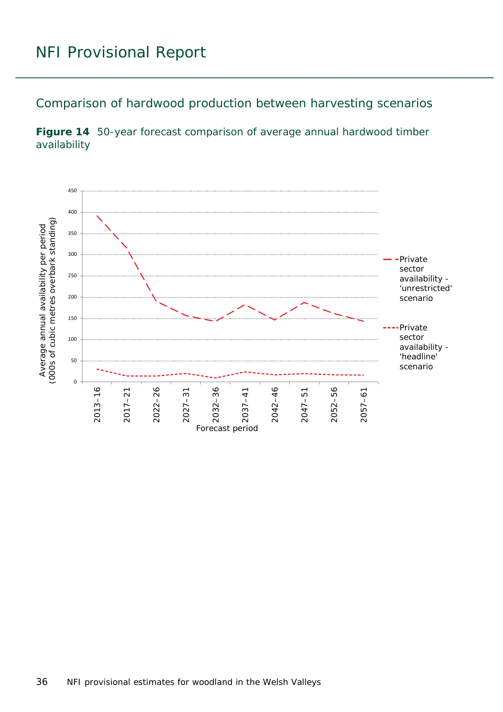<span id="page-35-0"></span>Comparison of hardwood production between harvesting scenarios

<span id="page-35-1"></span>

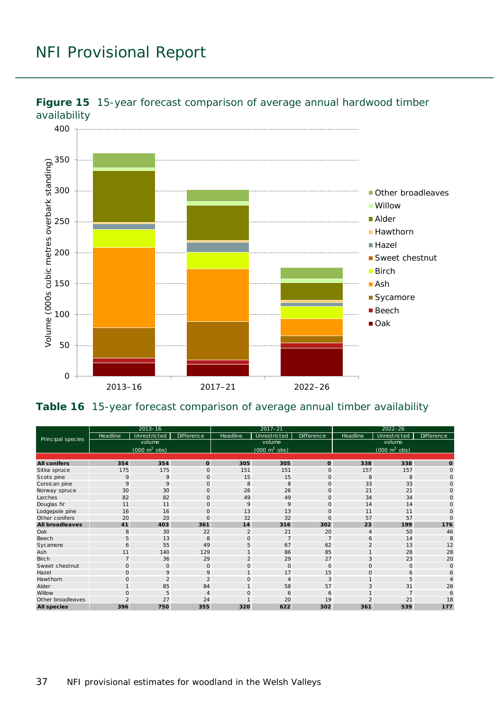

<span id="page-36-0"></span>

#### <span id="page-36-1"></span>**Table 16** 15-year forecast comparison of average annual timber availability

| Principal species      | $2013 - 16$                               |                |                   | $2017 - 21$                               |                |                   | $2022 - 26$                                   |              |                   |
|------------------------|-------------------------------------------|----------------|-------------------|-------------------------------------------|----------------|-------------------|-----------------------------------------------|--------------|-------------------|
|                        | Headline                                  | Unrestricted   | <b>Difference</b> | Headline                                  | Unrestricted   | <b>Difference</b> | Headline                                      | Unrestricted | <b>Difference</b> |
|                        | volume<br>$(000 \text{ m}^3 \text{ obs})$ |                |                   | volume<br>$(000 \text{ m}^3 \text{ obs})$ |                |                   | volume<br>$(000 \; \text{m}^3 \; \text{obs})$ |              |                   |
|                        |                                           |                |                   |                                           |                |                   |                                               |              |                   |
| <b>All conifers</b>    | 354                                       | 354            | $\mathbf{o}$      | 305                                       | 305            | $\mathbf 0$       | 338                                           | 338          | $\Omega$          |
| Sitka spruce           | 175                                       | 175            | $\Omega$          | 151                                       | 151            | $\mathbf{O}$      | 157                                           | 157          | $\Omega$          |
| Scots pine             | 9                                         | 9              | $\circ$           | 15                                        | 15             | $\mathbf 0$       | 8                                             | 8            | $\Omega$          |
| Corsican pine          | 9                                         | 9              | $\mathbf{O}$      | 8                                         | 8              | $\circ$           | 33                                            | 33           | $\Omega$          |
| Norway spruce          | 30                                        | 30             | $\mathbf{O}$      | 26                                        | 26             | $\mathbf 0$       | 21                                            | 21           | $\Omega$          |
| Larches                | 82                                        | 82             | $\mathbf 0$       | 49                                        | 49             | $\circ$           | 34                                            | 34           | $\Omega$          |
| Douglas fir            | 11                                        | 11             | $\circ$           | 9                                         | 9              | $\mathbf 0$       | 14                                            | 14           | $\Omega$          |
| Lodgepole pine         | 16                                        | 16             | $\Omega$          | 13                                        | 13             | $\circ$           | 11                                            | 11           | $\Omega$          |
| Other conifers         | 20                                        | 20             | $\circ$           | 32                                        | 32             | $\circ$           | 57                                            | 57           | $\Omega$          |
| <b>All broadleaves</b> | 41                                        | 403            | 361               | 14                                        | 316            | 302               | 23                                            | 199          | 176               |
| Oak                    | 8                                         | 30             | 22                | $\overline{2}$                            | 21             | 20                | $\overline{4}$                                | 50           | 46                |
| Beech                  | 5                                         | 13             | 8                 | $\mathbf{O}$                              | $\overline{7}$ | $\overline{7}$    | 6                                             | 14           | 8                 |
| Sycamore               | 6                                         | 55             | 49                | 5                                         | 67             | 62                | $\overline{2}$                                | 13           | 12                |
| Ash                    | 11                                        | 140            | 129               |                                           | 86             | 85                |                                               | 28           | 28                |
| <b>Birch</b>           | $\overline{7}$                            | 36             | 29                | $\overline{2}$                            | 29             | 27                | 3                                             | 23           | 20                |
| Sweet chestnut         | 0                                         | $\circ$        | $\circ$           | $\mathbf 0$                               | $\circ$        | $\mathbf{O}$      | $\Omega$                                      | $\mathbf{O}$ | $\Omega$          |
| Hazel                  | $\mathsf{O}$                              | 9              | 9                 | $\mathbf{1}$                              | 17             | 15                | $\circ$                                       | 6            | 6                 |
| Hawthorn               | $\mathsf{O}$                              | $\overline{2}$ | $\overline{2}$    | $\mathbf{O}$                              | $\overline{4}$ | 3                 |                                               | 5            |                   |
| Alder                  |                                           | 85             | 84                |                                           | 58             | 57                | 3                                             | 31           | 28                |
| Willow                 | $\Omega$                                  | 5              | $\overline{4}$    | O                                         | 6              | 6                 |                                               |              |                   |
| Other broadleaves      |                                           | 27             | 24                |                                           | 20             | 19                |                                               | 21           | 18                |
| <b>All species</b>     | 396                                       | 750            | 355               | 320                                       | 622            | 302               | 361                                           | 539          | 177               |